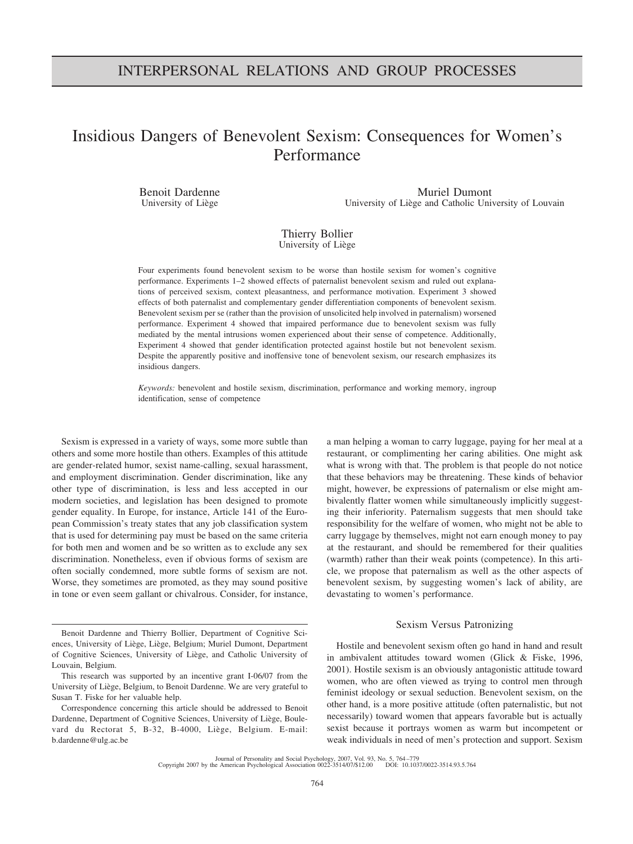# INTERPERSONAL RELATIONS AND GROUP PROCESSES

# Insidious Dangers of Benevolent Sexism: Consequences for Women's Performance

Benoit Dardenne University of Liège

Muriel Dumont University of Liège and Catholic University of Louvain

## Thierry Bollier University of Liège

Four experiments found benevolent sexism to be worse than hostile sexism for women's cognitive performance. Experiments 1–2 showed effects of paternalist benevolent sexism and ruled out explanations of perceived sexism, context pleasantness, and performance motivation. Experiment 3 showed effects of both paternalist and complementary gender differentiation components of benevolent sexism. Benevolent sexism per se (rather than the provision of unsolicited help involved in paternalism) worsened performance. Experiment 4 showed that impaired performance due to benevolent sexism was fully mediated by the mental intrusions women experienced about their sense of competence. Additionally, Experiment 4 showed that gender identification protected against hostile but not benevolent sexism. Despite the apparently positive and inoffensive tone of benevolent sexism, our research emphasizes its insidious dangers.

*Keywords:* benevolent and hostile sexism, discrimination, performance and working memory, ingroup identification, sense of competence

Sexism is expressed in a variety of ways, some more subtle than others and some more hostile than others. Examples of this attitude are gender-related humor, sexist name-calling, sexual harassment, and employment discrimination. Gender discrimination, like any other type of discrimination, is less and less accepted in our modern societies, and legislation has been designed to promote gender equality. In Europe, for instance, Article 141 of the European Commission's treaty states that any job classification system that is used for determining pay must be based on the same criteria for both men and women and be so written as to exclude any sex discrimination. Nonetheless, even if obvious forms of sexism are often socially condemned, more subtle forms of sexism are not. Worse, they sometimes are promoted, as they may sound positive in tone or even seem gallant or chivalrous. Consider, for instance, a man helping a woman to carry luggage, paying for her meal at a restaurant, or complimenting her caring abilities. One might ask what is wrong with that. The problem is that people do not notice that these behaviors may be threatening. These kinds of behavior might, however, be expressions of paternalism or else might ambivalently flatter women while simultaneously implicitly suggesting their inferiority. Paternalism suggests that men should take responsibility for the welfare of women, who might not be able to carry luggage by themselves, might not earn enough money to pay at the restaurant, and should be remembered for their qualities (warmth) rather than their weak points (competence). In this article, we propose that paternalism as well as the other aspects of benevolent sexism, by suggesting women's lack of ability, are devastating to women's performance.

#### Sexism Versus Patronizing

Hostile and benevolent sexism often go hand in hand and result in ambivalent attitudes toward women (Glick & Fiske, 1996, 2001). Hostile sexism is an obviously antagonistic attitude toward women, who are often viewed as trying to control men through feminist ideology or sexual seduction. Benevolent sexism, on the other hand, is a more positive attitude (often paternalistic, but not necessarily) toward women that appears favorable but is actually sexist because it portrays women as warm but incompetent or weak individuals in need of men's protection and support. Sexism

Benoit Dardenne and Thierry Bollier, Department of Cognitive Sciences, University of Liège, Liège, Belgium; Muriel Dumont, Department of Cognitive Sciences, University of Liège, and Catholic University of Louvain, Belgium.

This research was supported by an incentive grant I-06/07 from the University of Liège, Belgium, to Benoit Dardenne. We are very grateful to Susan T. Fiske for her valuable help.

Correspondence concerning this article should be addressed to Benoit Dardenne, Department of Cognitive Sciences, University of Liège, Boulevard du Rectorat 5, B-32, B-4000, Liège, Belgium. E-mail: b.dardenne@ulg.ac.be

Journal of Personality and Social Psychology, 2007, Vol. 93, No. 5, 764 –779 Copyright 2007 by the American Psychological Association 0022-3514/07/\$12.00 DOI: 10.1037/0022-3514.93.5.764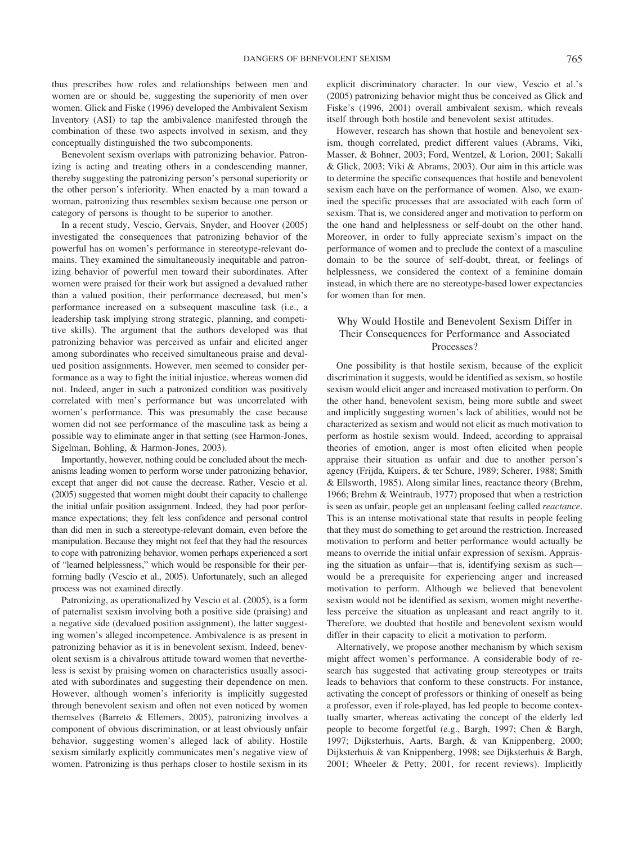thus prescribes how roles and relationships between men and women are or should be, suggesting the superiority of men over women. Glick and Fiske (1996) developed the Ambivalent Sexism Inventory (ASI) to tap the ambivalence manifested through the combination of these two aspects involved in sexism, and they conceptually distinguished the two subcomponents.

Benevolent sexism overlaps with patronizing behavior. Patronizing is acting and treating others in a condescending manner, thereby suggesting the patronizing person's personal superiority or the other person's inferiority. When enacted by a man toward a woman, patronizing thus resembles sexism because one person or category of persons is thought to be superior to another.

In a recent study, Vescio, Gervais, Snyder, and Hoover (2005) investigated the consequences that patronizing behavior of the powerful has on women's performance in stereotype-relevant domains. They examined the simultaneously inequitable and patronizing behavior of powerful men toward their subordinates. After women were praised for their work but assigned a devalued rather than a valued position, their performance decreased, but men's performance increased on a subsequent masculine task (i.e., a leadership task implying strong strategic, planning, and competitive skills). The argument that the authors developed was that patronizing behavior was perceived as unfair and elicited anger among subordinates who received simultaneous praise and devalued position assignments. However, men seemed to consider performance as a way to fight the initial injustice, whereas women did not. Indeed, anger in such a patronized condition was positively correlated with men's performance but was uncorrelated with women's performance. This was presumably the case because women did not see performance of the masculine task as being a possible way to eliminate anger in that setting (see Harmon-Jones, Sigelman, Bohling, & Harmon-Jones, 2003).

Importantly, however, nothing could be concluded about the mechanisms leading women to perform worse under patronizing behavior, except that anger did not cause the decrease. Rather, Vescio et al. (2005) suggested that women might doubt their capacity to challenge the initial unfair position assignment. Indeed, they had poor performance expectations; they felt less confidence and personal control than did men in such a stereotype-relevant domain, even before the manipulation. Because they might not feel that they had the resources to cope with patronizing behavior, women perhaps experienced a sort of "learned helplessness," which would be responsible for their performing badly (Vescio et al., 2005). Unfortunately, such an alleged process was not examined directly.

Patronizing, as operationalized by Vescio et al. (2005), is a form of paternalist sexism involving both a positive side (praising) and a negative side (devalued position assignment), the latter suggesting women's alleged incompetence. Ambivalence is as present in patronizing behavior as it is in benevolent sexism. Indeed, benevolent sexism is a chivalrous attitude toward women that nevertheless is sexist by praising women on characteristics usually associated with subordinates and suggesting their dependence on men. However, although women's inferiority is implicitly suggested through benevolent sexism and often not even noticed by women themselves (Barreto & Ellemers, 2005), patronizing involves a component of obvious discrimination, or at least obviously unfair behavior, suggesting women's alleged lack of ability. Hostile sexism similarly explicitly communicates men's negative view of women. Patronizing is thus perhaps closer to hostile sexism in its

explicit discriminatory character. In our view, Vescio et al.'s (2005) patronizing behavior might thus be conceived as Glick and Fiske's (1996, 2001) overall ambivalent sexism, which reveals itself through both hostile and benevolent sexist attitudes.

However, research has shown that hostile and benevolent sexism, though correlated, predict different values (Abrams, Viki, Masser, & Bohner, 2003; Ford, Wentzel, & Lorion, 2001; Sakalli & Glick, 2003; Viki & Abrams, 2003). Our aim in this article was to determine the specific consequences that hostile and benevolent sexism each have on the performance of women. Also, we examined the specific processes that are associated with each form of sexism. That is, we considered anger and motivation to perform on the one hand and helplessness or self-doubt on the other hand. Moreover, in order to fully appreciate sexism's impact on the performance of women and to preclude the context of a masculine domain to be the source of self-doubt, threat, or feelings of helplessness, we considered the context of a feminine domain instead, in which there are no stereotype-based lower expectancies for women than for men.

# Why Would Hostile and Benevolent Sexism Differ in Their Consequences for Performance and Associated Processes?

One possibility is that hostile sexism, because of the explicit discrimination it suggests, would be identified as sexism, so hostile sexism would elicit anger and increased motivation to perform. On the other hand, benevolent sexism, being more subtle and sweet and implicitly suggesting women's lack of abilities, would not be characterized as sexism and would not elicit as much motivation to perform as hostile sexism would. Indeed, according to appraisal theories of emotion, anger is most often elicited when people appraise their situation as unfair and due to another person's agency (Frijda, Kuipers, & ter Schure, 1989; Scherer, 1988; Smith & Ellsworth, 1985). Along similar lines, reactance theory (Brehm, 1966; Brehm & Weintraub, 1977) proposed that when a restriction is seen as unfair, people get an unpleasant feeling called *reactance*. This is an intense motivational state that results in people feeling that they must do something to get around the restriction. Increased motivation to perform and better performance would actually be means to override the initial unfair expression of sexism. Appraising the situation as unfair—that is, identifying sexism as such would be a prerequisite for experiencing anger and increased motivation to perform. Although we believed that benevolent sexism would not be identified as sexism, women might nevertheless perceive the situation as unpleasant and react angrily to it. Therefore, we doubted that hostile and benevolent sexism would differ in their capacity to elicit a motivation to perform.

Alternatively, we propose another mechanism by which sexism might affect women's performance. A considerable body of research has suggested that activating group stereotypes or traits leads to behaviors that conform to these constructs. For instance, activating the concept of professors or thinking of oneself as being a professor, even if role-played, has led people to become contextually smarter, whereas activating the concept of the elderly led people to become forgetful (e.g., Bargh, 1997; Chen & Bargh, 1997; Dijksterhuis, Aarts, Bargh, & van Knippenberg, 2000; Dijksterhuis & van Knippenberg, 1998; see Dijksterhuis & Bargh, 2001; Wheeler & Petty, 2001, for recent reviews). Implicitly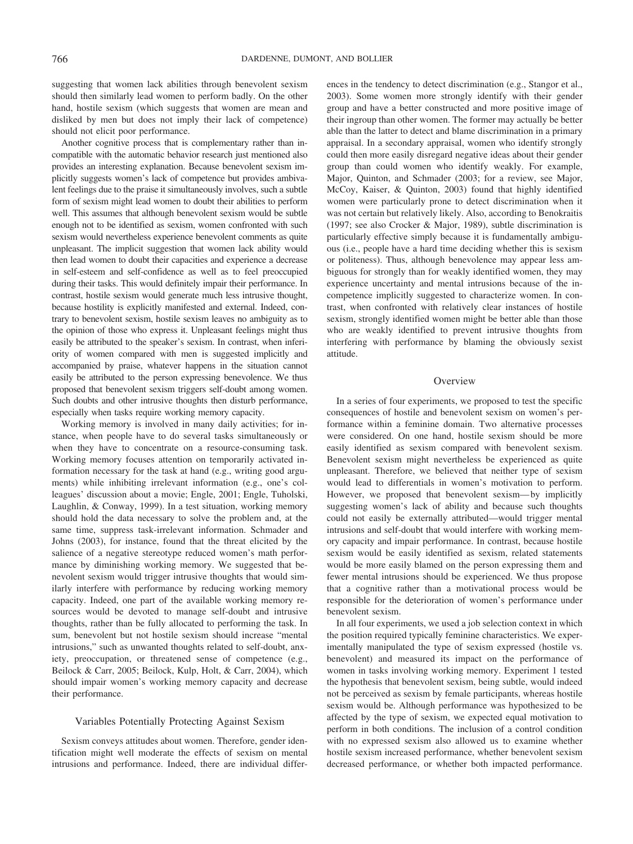suggesting that women lack abilities through benevolent sexism should then similarly lead women to perform badly. On the other hand, hostile sexism (which suggests that women are mean and disliked by men but does not imply their lack of competence) should not elicit poor performance.

Another cognitive process that is complementary rather than incompatible with the automatic behavior research just mentioned also provides an interesting explanation. Because benevolent sexism implicitly suggests women's lack of competence but provides ambivalent feelings due to the praise it simultaneously involves, such a subtle form of sexism might lead women to doubt their abilities to perform well. This assumes that although benevolent sexism would be subtle enough not to be identified as sexism, women confronted with such sexism would nevertheless experience benevolent comments as quite unpleasant. The implicit suggestion that women lack ability would then lead women to doubt their capacities and experience a decrease in self-esteem and self-confidence as well as to feel preoccupied during their tasks. This would definitely impair their performance. In contrast, hostile sexism would generate much less intrusive thought, because hostility is explicitly manifested and external. Indeed, contrary to benevolent sexism, hostile sexism leaves no ambiguity as to the opinion of those who express it. Unpleasant feelings might thus easily be attributed to the speaker's sexism. In contrast, when inferiority of women compared with men is suggested implicitly and accompanied by praise, whatever happens in the situation cannot easily be attributed to the person expressing benevolence. We thus proposed that benevolent sexism triggers self-doubt among women. Such doubts and other intrusive thoughts then disturb performance, especially when tasks require working memory capacity.

Working memory is involved in many daily activities; for instance, when people have to do several tasks simultaneously or when they have to concentrate on a resource-consuming task. Working memory focuses attention on temporarily activated information necessary for the task at hand (e.g., writing good arguments) while inhibiting irrelevant information (e.g., one's colleagues' discussion about a movie; Engle, 2001; Engle, Tuholski, Laughlin, & Conway, 1999). In a test situation, working memory should hold the data necessary to solve the problem and, at the same time, suppress task-irrelevant information. Schmader and Johns (2003), for instance, found that the threat elicited by the salience of a negative stereotype reduced women's math performance by diminishing working memory. We suggested that benevolent sexism would trigger intrusive thoughts that would similarly interfere with performance by reducing working memory capacity. Indeed, one part of the available working memory resources would be devoted to manage self-doubt and intrusive thoughts, rather than be fully allocated to performing the task. In sum, benevolent but not hostile sexism should increase "mental intrusions," such as unwanted thoughts related to self-doubt, anxiety, preoccupation, or threatened sense of competence (e.g., Beilock & Carr, 2005; Beilock, Kulp, Holt, & Carr, 2004), which should impair women's working memory capacity and decrease their performance.

## Variables Potentially Protecting Against Sexism

Sexism conveys attitudes about women. Therefore, gender identification might well moderate the effects of sexism on mental intrusions and performance. Indeed, there are individual differences in the tendency to detect discrimination (e.g., Stangor et al., 2003). Some women more strongly identify with their gender group and have a better constructed and more positive image of their ingroup than other women. The former may actually be better able than the latter to detect and blame discrimination in a primary appraisal. In a secondary appraisal, women who identify strongly could then more easily disregard negative ideas about their gender group than could women who identify weakly. For example, Major, Quinton, and Schmader (2003; for a review, see Major, McCoy, Kaiser, & Quinton, 2003) found that highly identified women were particularly prone to detect discrimination when it was not certain but relatively likely. Also, according to Benokraitis (1997; see also Crocker & Major, 1989), subtle discrimination is particularly effective simply because it is fundamentally ambiguous (i.e., people have a hard time deciding whether this is sexism or politeness). Thus, although benevolence may appear less ambiguous for strongly than for weakly identified women, they may experience uncertainty and mental intrusions because of the incompetence implicitly suggested to characterize women. In contrast, when confronted with relatively clear instances of hostile sexism, strongly identified women might be better able than those who are weakly identified to prevent intrusive thoughts from interfering with performance by blaming the obviously sexist attitude.

## Overview

In a series of four experiments, we proposed to test the specific consequences of hostile and benevolent sexism on women's performance within a feminine domain. Two alternative processes were considered. On one hand, hostile sexism should be more easily identified as sexism compared with benevolent sexism. Benevolent sexism might nevertheless be experienced as quite unpleasant. Therefore, we believed that neither type of sexism would lead to differentials in women's motivation to perform. However, we proposed that benevolent sexism— by implicitly suggesting women's lack of ability and because such thoughts could not easily be externally attributed—would trigger mental intrusions and self-doubt that would interfere with working memory capacity and impair performance. In contrast, because hostile sexism would be easily identified as sexism, related statements would be more easily blamed on the person expressing them and fewer mental intrusions should be experienced. We thus propose that a cognitive rather than a motivational process would be responsible for the deterioration of women's performance under benevolent sexism.

In all four experiments, we used a job selection context in which the position required typically feminine characteristics. We experimentally manipulated the type of sexism expressed (hostile vs. benevolent) and measured its impact on the performance of women in tasks involving working memory. Experiment 1 tested the hypothesis that benevolent sexism, being subtle, would indeed not be perceived as sexism by female participants, whereas hostile sexism would be. Although performance was hypothesized to be affected by the type of sexism, we expected equal motivation to perform in both conditions. The inclusion of a control condition with no expressed sexism also allowed us to examine whether hostile sexism increased performance, whether benevolent sexism decreased performance, or whether both impacted performance.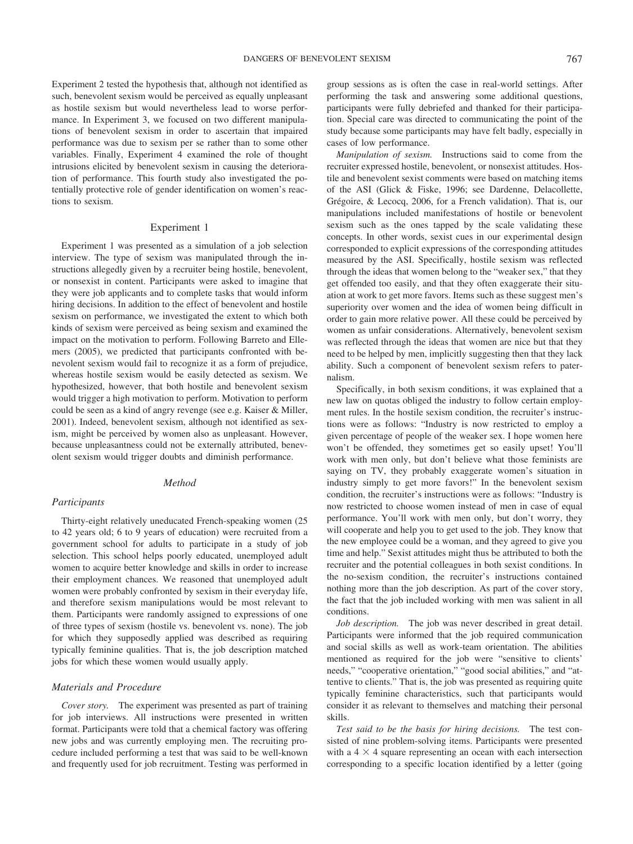Experiment 2 tested the hypothesis that, although not identified as such, benevolent sexism would be perceived as equally unpleasant as hostile sexism but would nevertheless lead to worse performance. In Experiment 3, we focused on two different manipulations of benevolent sexism in order to ascertain that impaired performance was due to sexism per se rather than to some other variables. Finally, Experiment 4 examined the role of thought intrusions elicited by benevolent sexism in causing the deterioration of performance. This fourth study also investigated the potentially protective role of gender identification on women's reactions to sexism.

### Experiment 1

Experiment 1 was presented as a simulation of a job selection interview. The type of sexism was manipulated through the instructions allegedly given by a recruiter being hostile, benevolent, or nonsexist in content. Participants were asked to imagine that they were job applicants and to complete tasks that would inform hiring decisions. In addition to the effect of benevolent and hostile sexism on performance, we investigated the extent to which both kinds of sexism were perceived as being sexism and examined the impact on the motivation to perform. Following Barreto and Ellemers (2005), we predicted that participants confronted with benevolent sexism would fail to recognize it as a form of prejudice, whereas hostile sexism would be easily detected as sexism. We hypothesized, however, that both hostile and benevolent sexism would trigger a high motivation to perform. Motivation to perform could be seen as a kind of angry revenge (see e.g. Kaiser & Miller, 2001). Indeed, benevolent sexism, although not identified as sexism, might be perceived by women also as unpleasant. However, because unpleasantness could not be externally attributed, benevolent sexism would trigger doubts and diminish performance.

## *Method*

## *Participants*

Thirty-eight relatively uneducated French-speaking women (25 to 42 years old; 6 to 9 years of education) were recruited from a government school for adults to participate in a study of job selection. This school helps poorly educated, unemployed adult women to acquire better knowledge and skills in order to increase their employment chances. We reasoned that unemployed adult women were probably confronted by sexism in their everyday life, and therefore sexism manipulations would be most relevant to them. Participants were randomly assigned to expressions of one of three types of sexism (hostile vs. benevolent vs. none). The job for which they supposedly applied was described as requiring typically feminine qualities. That is, the job description matched jobs for which these women would usually apply.

## *Materials and Procedure*

*Cover story.* The experiment was presented as part of training for job interviews. All instructions were presented in written format. Participants were told that a chemical factory was offering new jobs and was currently employing men. The recruiting procedure included performing a test that was said to be well-known and frequently used for job recruitment. Testing was performed in group sessions as is often the case in real-world settings. After performing the task and answering some additional questions, participants were fully debriefed and thanked for their participation. Special care was directed to communicating the point of the study because some participants may have felt badly, especially in cases of low performance.

*Manipulation of sexism.* Instructions said to come from the recruiter expressed hostile, benevolent, or nonsexist attitudes. Hostile and benevolent sexist comments were based on matching items of the ASI (Glick & Fiske, 1996; see Dardenne, Delacollette, Grégoire, & Lecocq, 2006, for a French validation). That is, our manipulations included manifestations of hostile or benevolent sexism such as the ones tapped by the scale validating these concepts. In other words, sexist cues in our experimental design corresponded to explicit expressions of the corresponding attitudes measured by the ASI. Specifically, hostile sexism was reflected through the ideas that women belong to the "weaker sex," that they get offended too easily, and that they often exaggerate their situation at work to get more favors. Items such as these suggest men's superiority over women and the idea of women being difficult in order to gain more relative power. All these could be perceived by women as unfair considerations. Alternatively, benevolent sexism was reflected through the ideas that women are nice but that they need to be helped by men, implicitly suggesting then that they lack ability. Such a component of benevolent sexism refers to paternalism.

Specifically, in both sexism conditions, it was explained that a new law on quotas obliged the industry to follow certain employment rules. In the hostile sexism condition, the recruiter's instructions were as follows: "Industry is now restricted to employ a given percentage of people of the weaker sex. I hope women here won't be offended, they sometimes get so easily upset! You'll work with men only, but don't believe what those feminists are saying on TV, they probably exaggerate women's situation in industry simply to get more favors!" In the benevolent sexism condition, the recruiter's instructions were as follows: "Industry is now restricted to choose women instead of men in case of equal performance. You'll work with men only, but don't worry, they will cooperate and help you to get used to the job. They know that the new employee could be a woman, and they agreed to give you time and help." Sexist attitudes might thus be attributed to both the recruiter and the potential colleagues in both sexist conditions. In the no-sexism condition, the recruiter's instructions contained nothing more than the job description. As part of the cover story, the fact that the job included working with men was salient in all conditions.

*Job description.* The job was never described in great detail. Participants were informed that the job required communication and social skills as well as work-team orientation. The abilities mentioned as required for the job were "sensitive to clients' needs," "cooperative orientation," "good social abilities," and "attentive to clients." That is, the job was presented as requiring quite typically feminine characteristics, such that participants would consider it as relevant to themselves and matching their personal skills.

*Test said to be the basis for hiring decisions.* The test consisted of nine problem-solving items. Participants were presented with a  $4 \times 4$  square representing an ocean with each intersection corresponding to a specific location identified by a letter (going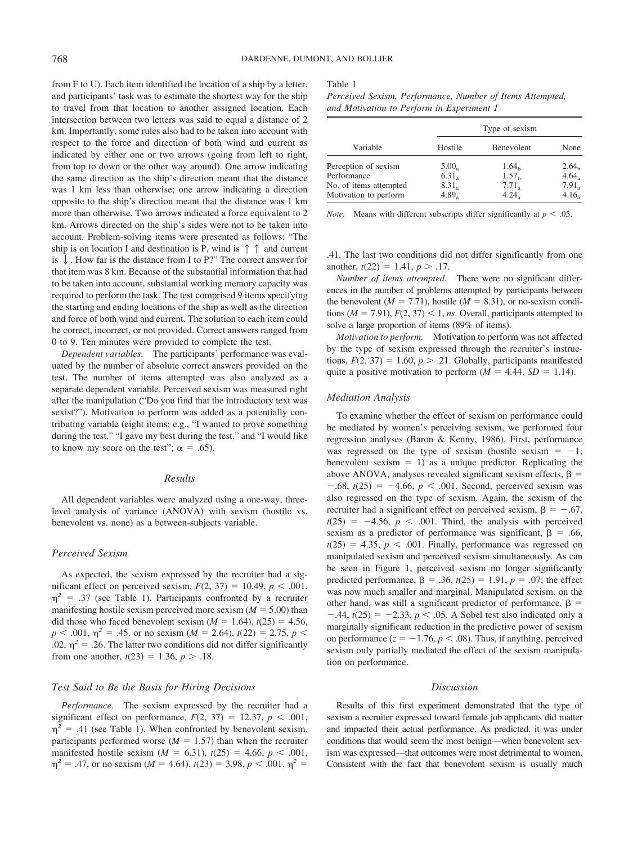from F to U). Each item identified the location of a ship by a letter, and participants' task was to estimate the shortest way for the ship to travel from that location to another assigned location. Each intersection between two letters was said to equal a distance of 2 km. Importantly, some rules also had to be taken into account with respect to the force and direction of both wind and current as indicated by either one or two arrows (going from left to right, from top to down or the other way around). One arrow indicating the same direction as the ship's direction meant that the distance was 1 km less than otherwise; one arrow indicating a direction opposite to the ship's direction meant that the distance was 1 km more than otherwise. Two arrows indicated a force equivalent to 2 km. Arrows directed on the ship's sides were not to be taken into account. Problem-solving items were presented as follows: "The ship is on location I and destination is P, wind is  $\uparrow \uparrow$  and current is  $\downarrow$ . How far is the distance from I to P?" The correct answer for that item was 8 km. Because of the substantial information that had to be taken into account, substantial working memory capacity was required to perform the task. The test comprised 9 items specifying the starting and ending locations of the ship as well as the direction and force of both wind and current. The solution to each item could be correct, incorrect, or not provided. Correct answers ranged from 0 to 9. Ten minutes were provided to complete the test.

*Dependent variables.* The participants' performance was evaluated by the number of absolute correct answers provided on the test. The number of items attempted was also analyzed as a separate dependent variable. Perceived sexism was measured right after the manipulation ("Do you find that the introductory text was sexist?"). Motivation to perform was added as a potentially contributing variable (eight items; e.g., "I wanted to prove something during the test," "I gave my best during the test," and "I would like to know my score on the test";  $\alpha = .65$ ).

## *Results*

All dependent variables were analyzed using a one-way, threelevel analysis of variance (ANOVA) with sexism (hostile vs. benevolent vs. none) as a between-subjects variable.

#### *Perceived Sexism*

As expected, the sexism expressed by the recruiter had a significant effect on perceived sexism,  $F(2, 37) = 10.49$ ,  $p < .001$ ,  $\eta^2$  = .37 (see Table 1). Participants confronted by a recruiter manifesting hostile sexism perceived more sexism  $(M = 5.00)$  than did those who faced benevolent sexism  $(M = 1.64)$ ,  $t(25) = 4.56$ ,  $p$  < .001,  $\eta^2$  = .45, or no sexism (*M* = 2.64),  $t(22)$  = 2.75,  $p$  < .02,  $\eta^2$  = .26. The latter two conditions did not differ significantly from one another,  $t(23) = 1.36$ ,  $p > .18$ .

## *Test Said to Be the Basis for Hiring Decisions*

*Performance.* The sexism expressed by the recruiter had a significant effect on performance,  $F(2, 37) = 12.37$ ,  $p < .001$ ,  $\eta^2$  = .41 (see Table 1). When confronted by benevolent sexism, participants performed worse  $(M = 1.57)$  than when the recruiter manifested hostile sexism  $(M = 6.31)$ ,  $t(25) = 4.66$ ,  $p < .001$ ,  $\eta^2$  = .47, or no sexism (*M* = 4.64), *t*(23) = 3.98, *p* < .001,  $\eta^2$  =

#### Table 1

*Perceived Sexism, Performance, Number of Items Attempted, and Motivation to Perform in Experiment 1*

| Variable                            | Type of sexism                      |                                        |                           |  |
|-------------------------------------|-------------------------------------|----------------------------------------|---------------------------|--|
|                                     | Hostile                             | Benevolent                             | None                      |  |
| Perception of sexism<br>Performance | $5.00_{\circ}$<br>6.31 <sub>a</sub> | 1.64 <sub>b</sub><br>1.57 <sub>b</sub> | 2.64 <sub>b</sub><br>4.64 |  |
| No. of items attempted              | 8.31 <sub>a</sub>                   | 7.71 <sub>2</sub>                      | 7.91 <sub>a</sub>         |  |
| Motivation to perform               | 4.89.                               | $4.24$ <sub>c</sub>                    | 4.16                      |  |

*Note.* Means with different subscripts differ significantly at  $p < .05$ .

.41. The last two conditions did not differ significantly from one another,  $t(22) = 1.41$ ,  $p > .17$ .

*Number of items attempted.* There were no significant differences in the number of problems attempted by participants between the benevolent ( $M = 7.71$ ), hostile ( $M = 8.31$ ), or no-sexism conditions ( $M = 7.91$ ),  $F(2, 37) < 1$ , *ns*. Overall, participants attempted to solve a large proportion of items (89% of items).

*Motivation to perform.* Motivation to perform was not affected by the type of sexism expressed through the recruiter's instructions,  $F(2, 37) = 1.60$ ,  $p > .21$ . Globally, participants manifested quite a positive motivation to perform  $(M = 4.44, SD = 1.14)$ .

## *Mediation Analysis*

To examine whether the effect of sexism on performance could be mediated by women's perceiving sexism, we performed four regression analyses (Baron & Kenny, 1986). First, performance was regressed on the type of sexism (hostile sexism  $= -1$ ; benevolent sexism  $= 1$ ) as a unique predictor. Replicating the above ANOVA, analyses revealed significant sexism effects,  $\beta$  =  $-.68, t(25) = -4.66, p < .001$ . Second, perceived sexism was also regressed on the type of sexism. Again, the sexism of the recruiter had a significant effect on perceived sexism,  $\beta = -.67$ ,  $t(25) = -4.56$ ,  $p < .001$ . Third, the analysis with perceived sexism as a predictor of performance was significant,  $\beta = .66$ ,  $t(25) = 4.35$ ,  $p < .001$ . Finally, performance was regressed on manipulated sexism and perceived sexism simultaneously. As can be seen in Figure 1, perceived sexism no longer significantly predicted performance,  $\beta = .36$ ,  $t(25) = 1.91$ ,  $p = .07$ ; the effect was now much smaller and marginal. Manipulated sexism, on the other hand, was still a significant predictor of performance,  $\beta$  =  $-0.44$ ,  $t(25) = -2.33$ ,  $p < 0.05$ . A Sobel test also indicated only a marginally significant reduction in the predictive power of sexism on performance  $(z = -1.76, p < .08)$ . Thus, if anything, perceived sexism only partially mediated the effect of the sexism manipulation on performance.

#### *Discussion*

Results of this first experiment demonstrated that the type of sexism a recruiter expressed toward female job applicants did matter and impacted their actual performance. As predicted, it was under conditions that would seem the most benign—when benevolent sexism was expressed—that outcomes were most detrimental to women. Consistent with the fact that benevolent sexism is usually much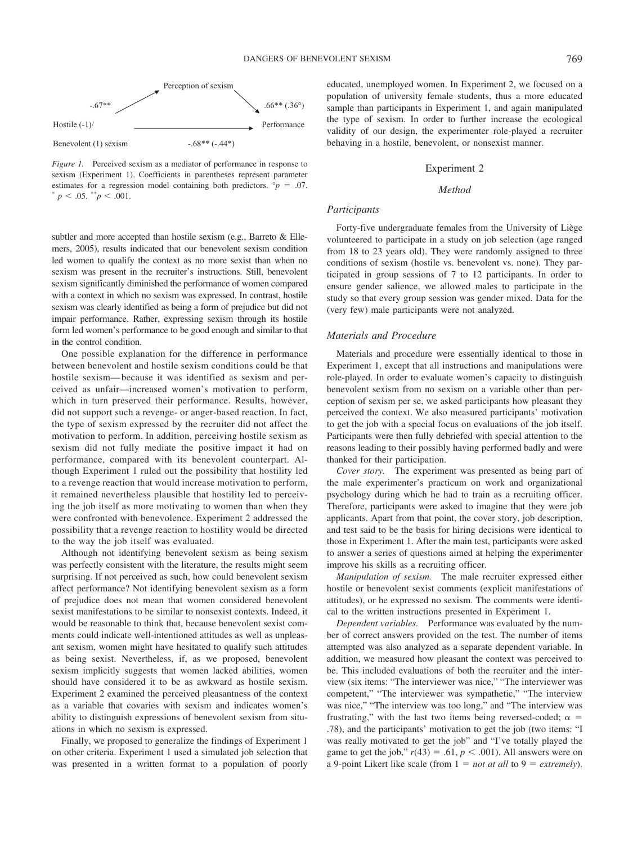

*Figure 1.* Perceived sexism as a mediator of performance in response to sexism (Experiment 1). Coefficients in parentheses represent parameter estimates for a regression model containing both predictors.  $\degree p = .07$ .  $p < .05.$  \*\* $p < .001.$ 

subtler and more accepted than hostile sexism (e.g., Barreto & Ellemers, 2005), results indicated that our benevolent sexism condition led women to qualify the context as no more sexist than when no sexism was present in the recruiter's instructions. Still, benevolent sexism significantly diminished the performance of women compared with a context in which no sexism was expressed. In contrast, hostile sexism was clearly identified as being a form of prejudice but did not impair performance. Rather, expressing sexism through its hostile form led women's performance to be good enough and similar to that in the control condition.

One possible explanation for the difference in performance between benevolent and hostile sexism conditions could be that hostile sexism— because it was identified as sexism and perceived as unfair—increased women's motivation to perform, which in turn preserved their performance. Results, however, did not support such a revenge- or anger-based reaction. In fact, the type of sexism expressed by the recruiter did not affect the motivation to perform. In addition, perceiving hostile sexism as sexism did not fully mediate the positive impact it had on performance, compared with its benevolent counterpart. Although Experiment 1 ruled out the possibility that hostility led to a revenge reaction that would increase motivation to perform, it remained nevertheless plausible that hostility led to perceiving the job itself as more motivating to women than when they were confronted with benevolence. Experiment 2 addressed the possibility that a revenge reaction to hostility would be directed to the way the job itself was evaluated.

Although not identifying benevolent sexism as being sexism was perfectly consistent with the literature, the results might seem surprising. If not perceived as such, how could benevolent sexism affect performance? Not identifying benevolent sexism as a form of prejudice does not mean that women considered benevolent sexist manifestations to be similar to nonsexist contexts. Indeed, it would be reasonable to think that, because benevolent sexist comments could indicate well-intentioned attitudes as well as unpleasant sexism, women might have hesitated to qualify such attitudes as being sexist. Nevertheless, if, as we proposed, benevolent sexism implicitly suggests that women lacked abilities, women should have considered it to be as awkward as hostile sexism. Experiment 2 examined the perceived pleasantness of the context as a variable that covaries with sexism and indicates women's ability to distinguish expressions of benevolent sexism from situations in which no sexism is expressed.

Finally, we proposed to generalize the findings of Experiment 1 on other criteria. Experiment 1 used a simulated job selection that was presented in a written format to a population of poorly educated, unemployed women. In Experiment 2, we focused on a population of university female students, thus a more educated sample than participants in Experiment 1, and again manipulated the type of sexism. In order to further increase the ecological validity of our design, the experimenter role-played a recruiter behaving in a hostile, benevolent, or nonsexist manner.

#### Experiment 2

#### *Method*

## *Participants*

Forty-five undergraduate females from the University of Liège volunteered to participate in a study on job selection (age ranged from 18 to 23 years old). They were randomly assigned to three conditions of sexism (hostile vs. benevolent vs. none). They participated in group sessions of 7 to 12 participants. In order to ensure gender salience, we allowed males to participate in the study so that every group session was gender mixed. Data for the (very few) male participants were not analyzed.

## *Materials and Procedure*

Materials and procedure were essentially identical to those in Experiment 1, except that all instructions and manipulations were role-played. In order to evaluate women's capacity to distinguish benevolent sexism from no sexism on a variable other than perception of sexism per se, we asked participants how pleasant they perceived the context. We also measured participants' motivation to get the job with a special focus on evaluations of the job itself. Participants were then fully debriefed with special attention to the reasons leading to their possibly having performed badly and were thanked for their participation.

*Cover story.* The experiment was presented as being part of the male experimenter's practicum on work and organizational psychology during which he had to train as a recruiting officer. Therefore, participants were asked to imagine that they were job applicants. Apart from that point, the cover story, job description, and test said to be the basis for hiring decisions were identical to those in Experiment 1. After the main test, participants were asked to answer a series of questions aimed at helping the experimenter improve his skills as a recruiting officer.

*Manipulation of sexism.* The male recruiter expressed either hostile or benevolent sexist comments (explicit manifestations of attitudes), or he expressed no sexism. The comments were identical to the written instructions presented in Experiment 1.

*Dependent variables.* Performance was evaluated by the number of correct answers provided on the test. The number of items attempted was also analyzed as a separate dependent variable. In addition, we measured how pleasant the context was perceived to be. This included evaluations of both the recruiter and the interview (six items: "The interviewer was nice," "The interviewer was competent," "The interviewer was sympathetic," "The interview was nice," "The interview was too long," and "The interview was frustrating," with the last two items being reversed-coded;  $\alpha$  = .78), and the participants' motivation to get the job (two items: "I was really motivated to get the job" and "I've totally played the game to get the job,"  $r(43) = .61$ ,  $p < .001$ ). All answers were on a 9-point Likert like scale (from  $1 = not$  *at all* to  $9 = extremely$ ).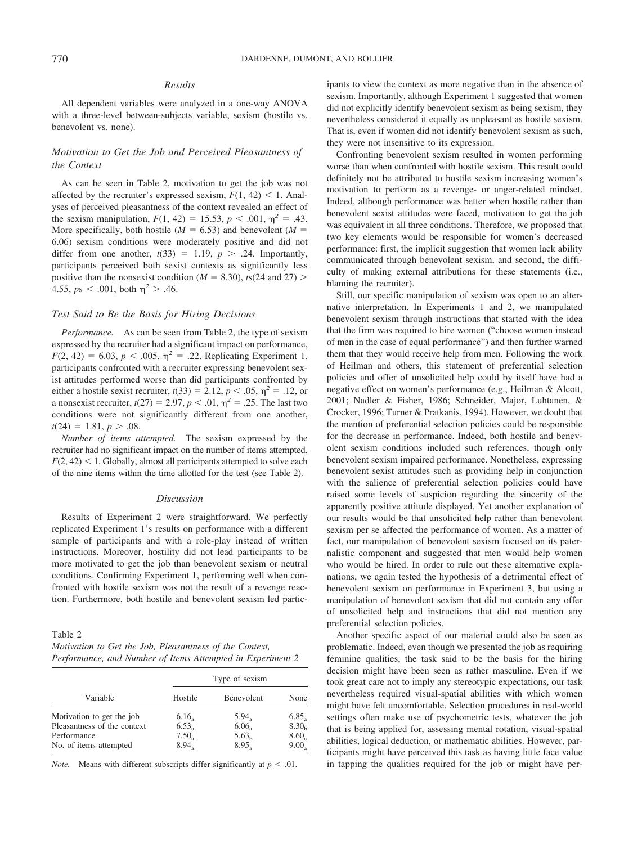#### *Results*

All dependent variables were analyzed in a one-way ANOVA with a three-level between-subjects variable, sexism (hostile vs. benevolent vs. none).

# *Motivation to Get the Job and Perceived Pleasantness of the Context*

As can be seen in Table 2, motivation to get the job was not affected by the recruiter's expressed sexism,  $F(1, 42) < 1$ . Analyses of perceived pleasantness of the context revealed an effect of the sexism manipulation,  $F(1, 42) = 15.53$ ,  $p < .001$ ,  $\eta^2 = .43$ . More specifically, both hostile ( $M = 6.53$ ) and benevolent ( $M =$ 6.06) sexism conditions were moderately positive and did not differ from one another,  $t(33) = 1.19$ ,  $p > .24$ . Importantly, participants perceived both sexist contexts as significantly less positive than the nonsexist condition ( $M = 8.30$ ),  $t s(24 \text{ and } 27)$ 4.55,  $ps < .001$ , both  $\eta^2 > .46$ .

#### *Test Said to Be the Basis for Hiring Decisions*

*Performance.* As can be seen from Table 2, the type of sexism expressed by the recruiter had a significant impact on performance,  $F(2, 42) = 6.03, p < .005, \eta^2 = .22$ . Replicating Experiment 1, participants confronted with a recruiter expressing benevolent sexist attitudes performed worse than did participants confronted by either a hostile sexist recruiter,  $t(33) = 2.12$ ,  $p < .05$ ,  $\eta^2 = .12$ , or a nonsexist recruiter,  $t(27) = 2.97$ ,  $p < .01$ ,  $\eta^2 = .25$ . The last two conditions were not significantly different from one another,  $t(24) = 1.81, p > .08.$ 

*Number of items attempted.* The sexism expressed by the recruiter had no significant impact on the number of items attempted,  $F(2, 42)$  < 1. Globally, almost all participants attempted to solve each of the nine items within the time allotted for the test (see Table 2).

#### *Discussion*

Results of Experiment 2 were straightforward. We perfectly replicated Experiment 1's results on performance with a different sample of participants and with a role-play instead of written instructions. Moreover, hostility did not lead participants to be more motivated to get the job than benevolent sexism or neutral conditions. Confirming Experiment 1, performing well when confronted with hostile sexism was not the result of a revenge reaction. Furthermore, both hostile and benevolent sexism led partic-

Table 2

*Motivation to Get the Job, Pleasantness of the Context, Performance, and Number of Items Attempted in Experiment 2*

| Variable                    | Type of sexism      |                   |                     |
|-----------------------------|---------------------|-------------------|---------------------|
|                             | Hostile             | Benevolent        | None                |
| Motivation to get the job   | 6.16                | 5.94.             | 6.85                |
| Pleasantness of the context | 6.53 <sub>2</sub>   | 6.06              | 8.30 <sub>b</sub>   |
| Performance                 | $7.50$ <sub>2</sub> | 5.63 <sub>b</sub> | $8.60_a$            |
| No. of items attempted      | 8.94.               | 8.95.             | $9.00$ <sub>2</sub> |

*Note.* Means with different subscripts differ significantly at  $p < .01$ .

ipants to view the context as more negative than in the absence of sexism. Importantly, although Experiment 1 suggested that women did not explicitly identify benevolent sexism as being sexism, they nevertheless considered it equally as unpleasant as hostile sexism. That is, even if women did not identify benevolent sexism as such, they were not insensitive to its expression.

Confronting benevolent sexism resulted in women performing worse than when confronted with hostile sexism. This result could definitely not be attributed to hostile sexism increasing women's motivation to perform as a revenge- or anger-related mindset. Indeed, although performance was better when hostile rather than benevolent sexist attitudes were faced, motivation to get the job was equivalent in all three conditions. Therefore, we proposed that two key elements would be responsible for women's decreased performance: first, the implicit suggestion that women lack ability communicated through benevolent sexism, and second, the difficulty of making external attributions for these statements (i.e., blaming the recruiter).

Still, our specific manipulation of sexism was open to an alternative interpretation. In Experiments 1 and 2, we manipulated benevolent sexism through instructions that started with the idea that the firm was required to hire women ("choose women instead of men in the case of equal performance") and then further warned them that they would receive help from men. Following the work of Heilman and others, this statement of preferential selection policies and offer of unsolicited help could by itself have had a negative effect on women's performance (e.g., Heilman & Alcott, 2001; Nadler & Fisher, 1986; Schneider, Major, Luhtanen, & Crocker, 1996; Turner & Pratkanis, 1994). However, we doubt that the mention of preferential selection policies could be responsible for the decrease in performance. Indeed, both hostile and benevolent sexism conditions included such references, though only benevolent sexism impaired performance. Nonetheless, expressing benevolent sexist attitudes such as providing help in conjunction with the salience of preferential selection policies could have raised some levels of suspicion regarding the sincerity of the apparently positive attitude displayed. Yet another explanation of our results would be that unsolicited help rather than benevolent sexism per se affected the performance of women. As a matter of fact, our manipulation of benevolent sexism focused on its paternalistic component and suggested that men would help women who would be hired. In order to rule out these alternative explanations, we again tested the hypothesis of a detrimental effect of benevolent sexism on performance in Experiment 3, but using a manipulation of benevolent sexism that did not contain any offer of unsolicited help and instructions that did not mention any preferential selection policies.

Another specific aspect of our material could also be seen as problematic. Indeed, even though we presented the job as requiring feminine qualities, the task said to be the basis for the hiring decision might have been seen as rather masculine. Even if we took great care not to imply any stereotypic expectations, our task nevertheless required visual-spatial abilities with which women might have felt uncomfortable. Selection procedures in real-world settings often make use of psychometric tests, whatever the job that is being applied for, assessing mental rotation, visual-spatial abilities, logical deduction, or mathematic abilities. However, participants might have perceived this task as having little face value in tapping the qualities required for the job or might have per-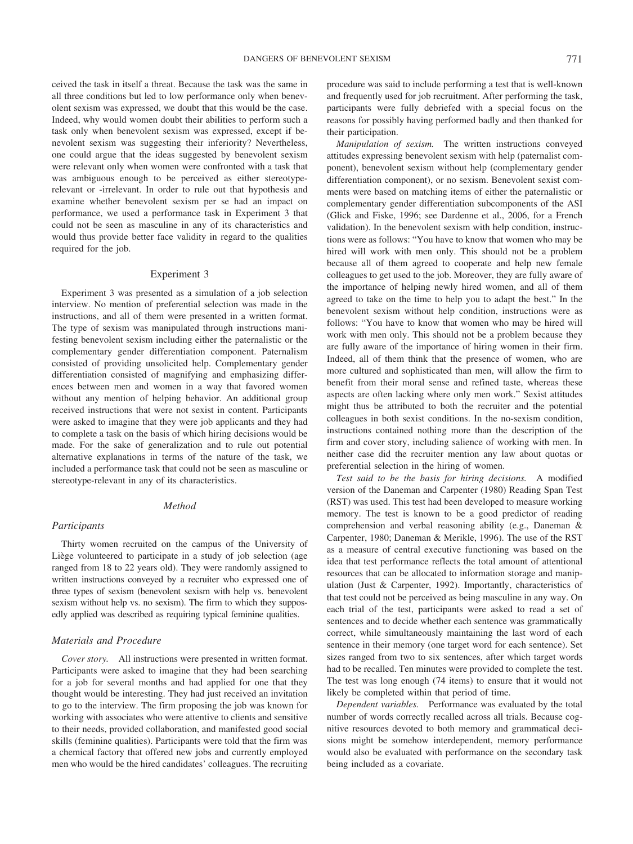ceived the task in itself a threat. Because the task was the same in all three conditions but led to low performance only when benevolent sexism was expressed, we doubt that this would be the case. Indeed, why would women doubt their abilities to perform such a task only when benevolent sexism was expressed, except if benevolent sexism was suggesting their inferiority? Nevertheless, one could argue that the ideas suggested by benevolent sexism were relevant only when women were confronted with a task that was ambiguous enough to be perceived as either stereotyperelevant or -irrelevant. In order to rule out that hypothesis and examine whether benevolent sexism per se had an impact on performance, we used a performance task in Experiment 3 that could not be seen as masculine in any of its characteristics and would thus provide better face validity in regard to the qualities required for the job.

### Experiment 3

Experiment 3 was presented as a simulation of a job selection interview. No mention of preferential selection was made in the instructions, and all of them were presented in a written format. The type of sexism was manipulated through instructions manifesting benevolent sexism including either the paternalistic or the complementary gender differentiation component. Paternalism consisted of providing unsolicited help. Complementary gender differentiation consisted of magnifying and emphasizing differences between men and women in a way that favored women without any mention of helping behavior. An additional group received instructions that were not sexist in content. Participants were asked to imagine that they were job applicants and they had to complete a task on the basis of which hiring decisions would be made. For the sake of generalization and to rule out potential alternative explanations in terms of the nature of the task, we included a performance task that could not be seen as masculine or stereotype-relevant in any of its characteristics.

#### *Method*

## *Participants*

Thirty women recruited on the campus of the University of Liège volunteered to participate in a study of job selection (age ranged from 18 to 22 years old). They were randomly assigned to written instructions conveyed by a recruiter who expressed one of three types of sexism (benevolent sexism with help vs. benevolent sexism without help vs. no sexism). The firm to which they supposedly applied was described as requiring typical feminine qualities.

## *Materials and Procedure*

*Cover story.* All instructions were presented in written format. Participants were asked to imagine that they had been searching for a job for several months and had applied for one that they thought would be interesting. They had just received an invitation to go to the interview. The firm proposing the job was known for working with associates who were attentive to clients and sensitive to their needs, provided collaboration, and manifested good social skills (feminine qualities). Participants were told that the firm was a chemical factory that offered new jobs and currently employed men who would be the hired candidates' colleagues. The recruiting procedure was said to include performing a test that is well-known and frequently used for job recruitment. After performing the task, participants were fully debriefed with a special focus on the reasons for possibly having performed badly and then thanked for their participation.

*Manipulation of sexism.* The written instructions conveyed attitudes expressing benevolent sexism with help (paternalist component), benevolent sexism without help (complementary gender differentiation component), or no sexism. Benevolent sexist comments were based on matching items of either the paternalistic or complementary gender differentiation subcomponents of the ASI (Glick and Fiske, 1996; see Dardenne et al., 2006, for a French validation). In the benevolent sexism with help condition, instructions were as follows: "You have to know that women who may be hired will work with men only. This should not be a problem because all of them agreed to cooperate and help new female colleagues to get used to the job. Moreover, they are fully aware of the importance of helping newly hired women, and all of them agreed to take on the time to help you to adapt the best." In the benevolent sexism without help condition, instructions were as follows: "You have to know that women who may be hired will work with men only. This should not be a problem because they are fully aware of the importance of hiring women in their firm. Indeed, all of them think that the presence of women, who are more cultured and sophisticated than men, will allow the firm to benefit from their moral sense and refined taste, whereas these aspects are often lacking where only men work." Sexist attitudes might thus be attributed to both the recruiter and the potential colleagues in both sexist conditions. In the no-sexism condition, instructions contained nothing more than the description of the firm and cover story, including salience of working with men. In neither case did the recruiter mention any law about quotas or preferential selection in the hiring of women.

*Test said to be the basis for hiring decisions.* A modified version of the Daneman and Carpenter (1980) Reading Span Test (RST) was used. This test had been developed to measure working memory. The test is known to be a good predictor of reading comprehension and verbal reasoning ability (e.g., Daneman & Carpenter, 1980; Daneman & Merikle, 1996). The use of the RST as a measure of central executive functioning was based on the idea that test performance reflects the total amount of attentional resources that can be allocated to information storage and manipulation (Just & Carpenter, 1992). Importantly, characteristics of that test could not be perceived as being masculine in any way. On each trial of the test, participants were asked to read a set of sentences and to decide whether each sentence was grammatically correct, while simultaneously maintaining the last word of each sentence in their memory (one target word for each sentence). Set sizes ranged from two to six sentences, after which target words had to be recalled. Ten minutes were provided to complete the test. The test was long enough (74 items) to ensure that it would not likely be completed within that period of time.

*Dependent variables.* Performance was evaluated by the total number of words correctly recalled across all trials. Because cognitive resources devoted to both memory and grammatical decisions might be somehow interdependent, memory performance would also be evaluated with performance on the secondary task being included as a covariate.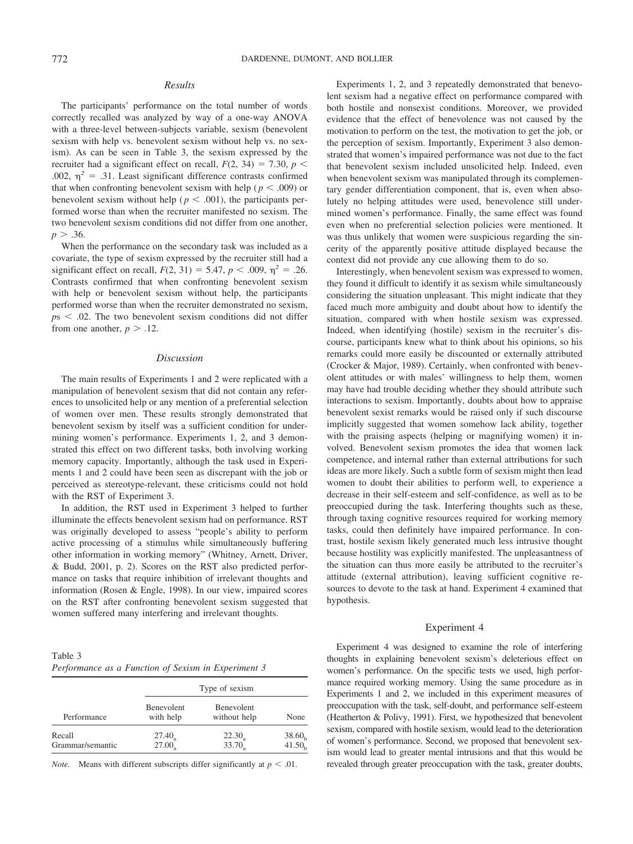#### *Results*

The participants' performance on the total number of words correctly recalled was analyzed by way of a one-way ANOVA with a three-level between-subjects variable, sexism (benevolent sexism with help vs. benevolent sexism without help vs. no sexism). As can be seen in Table 3, the sexism expressed by the recruiter had a significant effect on recall,  $F(2, 34) = 7.30$ ,  $p <$ .002,  $\eta^2$  = .31. Least significant difference contrasts confirmed that when confronting benevolent sexism with help ( $p < .009$ ) or benevolent sexism without help ( $p < .001$ ), the participants performed worse than when the recruiter manifested no sexism. The two benevolent sexism conditions did not differ from one another,  $p > .36$ .

When the performance on the secondary task was included as a covariate, the type of sexism expressed by the recruiter still had a significant effect on recall,  $F(2, 31) = 5.47$ ,  $p < .009$ ,  $\eta^2 = .26$ . Contrasts confirmed that when confronting benevolent sexism with help or benevolent sexism without help, the participants performed worse than when the recruiter demonstrated no sexism,  $p<sub>5</sub> <$  .02. The two benevolent sexism conditions did not differ from one another,  $p > .12$ .

#### *Discussion*

The main results of Experiments 1 and 2 were replicated with a manipulation of benevolent sexism that did not contain any references to unsolicited help or any mention of a preferential selection of women over men. These results strongly demonstrated that benevolent sexism by itself was a sufficient condition for undermining women's performance. Experiments 1, 2, and 3 demonstrated this effect on two different tasks, both involving working memory capacity. Importantly, although the task used in Experiments 1 and 2 could have been seen as discrepant with the job or perceived as stereotype-relevant, these criticisms could not hold with the RST of Experiment 3.

In addition, the RST used in Experiment 3 helped to further illuminate the effects benevolent sexism had on performance. RST was originally developed to assess "people's ability to perform active processing of a stimulus while simultaneously buffering other information in working memory" (Whitney, Arnett, Driver, & Budd, 2001, p. 2). Scores on the RST also predicted performance on tasks that require inhibition of irrelevant thoughts and information (Rosen & Engle, 1998). In our view, impaired scores on the RST after confronting benevolent sexism suggested that women suffered many interfering and irrelevant thoughts.

Table 3 *Performance as a Function of Sexism in Experiment 3*

|                            | Type of sexism                 |                                              |                                          |  |
|----------------------------|--------------------------------|----------------------------------------------|------------------------------------------|--|
| Performance                | <b>Benevolent</b><br>with help | <b>Benevolent</b><br>without help            | None                                     |  |
| Recall<br>Grammar/semantic | 27.40<br>$27.00$ <sub>s</sub>  | $22.30$ <sub>2</sub><br>$33.70$ <sub>s</sub> | 38.60 <sub>b</sub><br>41.50 <sub>b</sub> |  |

*Note.* Means with different subscripts differ significantly at  $p < .01$ .

Experiments 1, 2, and 3 repeatedly demonstrated that benevolent sexism had a negative effect on performance compared with both hostile and nonsexist conditions. Moreover, we provided evidence that the effect of benevolence was not caused by the motivation to perform on the test, the motivation to get the job, or the perception of sexism. Importantly, Experiment 3 also demonstrated that women's impaired performance was not due to the fact that benevolent sexism included unsolicited help. Indeed, even when benevolent sexism was manipulated through its complementary gender differentiation component, that is, even when absolutely no helping attitudes were used, benevolence still undermined women's performance. Finally, the same effect was found even when no preferential selection policies were mentioned. It was thus unlikely that women were suspicious regarding the sincerity of the apparently positive attitude displayed because the context did not provide any cue allowing them to do so.

Interestingly, when benevolent sexism was expressed to women, they found it difficult to identify it as sexism while simultaneously considering the situation unpleasant. This might indicate that they faced much more ambiguity and doubt about how to identify the situation, compared with when hostile sexism was expressed. Indeed, when identifying (hostile) sexism in the recruiter's discourse, participants knew what to think about his opinions, so his remarks could more easily be discounted or externally attributed (Crocker & Major, 1989). Certainly, when confronted with benevolent attitudes or with males' willingness to help them, women may have had trouble deciding whether they should attribute such interactions to sexism. Importantly, doubts about how to appraise benevolent sexist remarks would be raised only if such discourse implicitly suggested that women somehow lack ability, together with the praising aspects (helping or magnifying women) it involved. Benevolent sexism promotes the idea that women lack competence, and internal rather than external attributions for such ideas are more likely. Such a subtle form of sexism might then lead women to doubt their abilities to perform well, to experience a decrease in their self-esteem and self-confidence, as well as to be preoccupied during the task. Interfering thoughts such as these, through taxing cognitive resources required for working memory tasks, could then definitely have impaired performance. In contrast, hostile sexism likely generated much less intrusive thought because hostility was explicitly manifested. The unpleasantness of the situation can thus more easily be attributed to the recruiter's attitude (external attribution), leaving sufficient cognitive resources to devote to the task at hand. Experiment 4 examined that hypothesis.

## Experiment 4

Experiment 4 was designed to examine the role of interfering thoughts in explaining benevolent sexism's deleterious effect on women's performance. On the specific tests we used, high performance required working memory. Using the same procedure as in Experiments 1 and 2, we included in this experiment measures of preoccupation with the task, self-doubt, and performance self-esteem (Heatherton & Polivy, 1991). First, we hypothesized that benevolent sexism, compared with hostile sexism, would lead to the deterioration of women's performance. Second, we proposed that benevolent sexism would lead to greater mental intrusions and that this would be revealed through greater preoccupation with the task, greater doubts,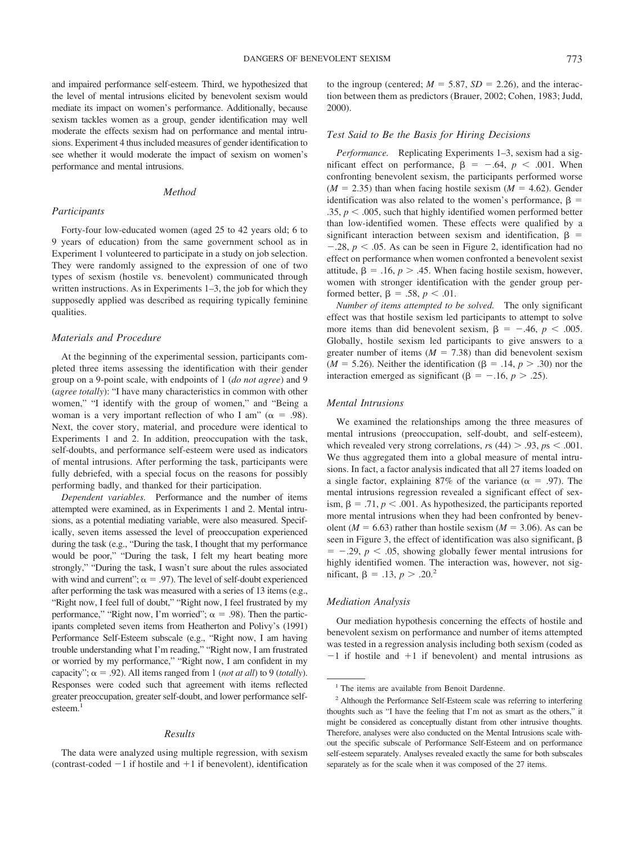and impaired performance self-esteem. Third, we hypothesized that the level of mental intrusions elicited by benevolent sexism would mediate its impact on women's performance. Additionally, because sexism tackles women as a group, gender identification may well moderate the effects sexism had on performance and mental intrusions. Experiment 4 thus included measures of gender identification to see whether it would moderate the impact of sexism on women's performance and mental intrusions.

# *Method*

# *Participants*

Forty-four low-educated women (aged 25 to 42 years old; 6 to 9 years of education) from the same government school as in Experiment 1 volunteered to participate in a study on job selection. They were randomly assigned to the expression of one of two types of sexism (hostile vs. benevolent) communicated through written instructions. As in Experiments 1–3, the job for which they supposedly applied was described as requiring typically feminine qualities.

## *Materials and Procedure*

At the beginning of the experimental session, participants completed three items assessing the identification with their gender group on a 9-point scale, with endpoints of 1 (*do not agree*) and 9 (*agree totally*): "I have many characteristics in common with other women," "I identify with the group of women," and "Being a woman is a very important reflection of who I am" ( $\alpha = .98$ ). Next, the cover story, material, and procedure were identical to Experiments 1 and 2. In addition, preoccupation with the task, self-doubts, and performance self-esteem were used as indicators of mental intrusions. After performing the task, participants were fully debriefed, with a special focus on the reasons for possibly performing badly, and thanked for their participation.

*Dependent variables.* Performance and the number of items attempted were examined, as in Experiments 1 and 2. Mental intrusions, as a potential mediating variable, were also measured. Specifically, seven items assessed the level of preoccupation experienced during the task (e.g., "During the task, I thought that my performance would be poor," "During the task, I felt my heart beating more strongly," "During the task, I wasn't sure about the rules associated with wind and current";  $\alpha = .97$ ). The level of self-doubt experienced after performing the task was measured with a series of 13 items (e.g., "Right now, I feel full of doubt," "Right now, I feel frustrated by my performance," "Right now, I'm worried";  $\alpha = .98$ ). Then the participants completed seven items from Heatherton and Polivy's (1991) Performance Self-Esteem subscale (e.g., "Right now, I am having trouble understanding what I'm reading," "Right now, I am frustrated or worried by my performance," "Right now, I am confident in my capacity";  $\alpha$  = .92). All items ranged from 1 (*not at all*) to 9 (*totally*). Responses were coded such that agreement with items reflected greater preoccupation, greater self-doubt, and lower performance selfesteem.<sup>1</sup>

#### *Results*

The data were analyzed using multiple regression, with sexism (contrast-coded  $-1$  if hostile and  $+1$  if benevolent), identification to the ingroup (centered;  $M = 5.87$ ,  $SD = 2.26$ ), and the interaction between them as predictors (Brauer, 2002; Cohen, 1983; Judd, 2000).

## *Test Said to Be the Basis for Hiring Decisions*

*Performance.* Replicating Experiments 1–3, sexism had a significant effect on performance,  $\beta = -.64, p < .001$ . When confronting benevolent sexism, the participants performed worse  $(M = 2.35)$  than when facing hostile sexism  $(M = 4.62)$ . Gender identification was also related to the women's performance,  $\beta$  = .35,  $p < .005$ , such that highly identified women performed better than low-identified women. These effects were qualified by a significant interaction between sexism and identification,  $\beta$  =  $-.28, p < .05$ . As can be seen in Figure 2, identification had no effect on performance when women confronted a benevolent sexist attitude,  $\beta = .16$ ,  $p > .45$ . When facing hostile sexism, however, women with stronger identification with the gender group performed better,  $\beta = .58$ ,  $p < .01$ .

*Number of items attempted to be solved.* The only significant effect was that hostile sexism led participants to attempt to solve more items than did benevolent sexism,  $\beta = -.46, p < .005$ . Globally, hostile sexism led participants to give answers to a greater number of items  $(M = 7.38)$  than did benevolent sexism ( $M = 5.26$ ). Neither the identification ( $\beta = .14$ ,  $p > .30$ ) nor the interaction emerged as significant ( $\beta = -.16, p > .25$ ).

## *Mental Intrusions*

We examined the relationships among the three measures of mental intrusions (preoccupation, self-doubt, and self-esteem), which revealed very strong correlations,  $rs$  (44)  $> .93$ ,  $ps < .001$ . We thus aggregated them into a global measure of mental intrusions. In fact, a factor analysis indicated that all 27 items loaded on a single factor, explaining 87% of the variance ( $\alpha = .97$ ). The mental intrusions regression revealed a significant effect of sexism,  $\beta = .71$ ,  $p < .001$ . As hypothesized, the participants reported more mental intrusions when they had been confronted by benevolent ( $M = 6.63$ ) rather than hostile sexism ( $M = 3.06$ ). As can be seen in Figure 3, the effect of identification was also significant,  $\beta$  $=$  -.29,  $p < .05$ , showing globally fewer mental intrusions for highly identified women. The interaction was, however, not significant,  $\beta = .13, p > .20.<sup>2</sup>$ 

#### *Mediation Analysis*

Our mediation hypothesis concerning the effects of hostile and benevolent sexism on performance and number of items attempted was tested in a regression analysis including both sexism (coded as  $-1$  if hostile and  $+1$  if benevolent) and mental intrusions as

<sup>&</sup>lt;sup>1</sup> The items are available from Benoit Dardenne.

<sup>2</sup> Although the Performance Self-Esteem scale was referring to interfering thoughts such as "I have the feeling that I'm not as smart as the others," it might be considered as conceptually distant from other intrusive thoughts. Therefore, analyses were also conducted on the Mental Intrusions scale without the specific subscale of Performance Self-Esteem and on performance self-esteem separately. Analyses revealed exactly the same for both subscales separately as for the scale when it was composed of the 27 items.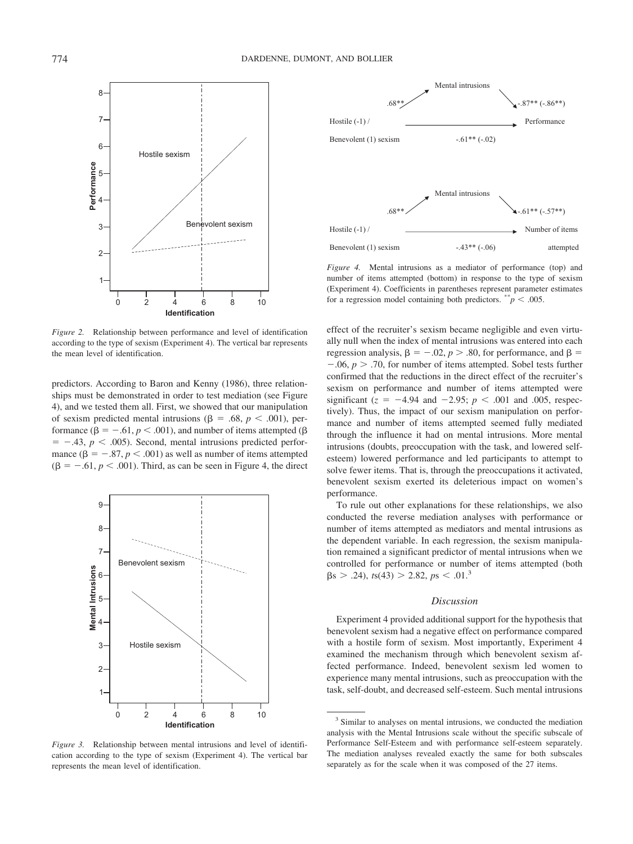

*Figure 2.* Relationship between performance and level of identification according to the type of sexism (Experiment 4). The vertical bar represents the mean level of identification.

predictors. According to Baron and Kenny (1986), three relationships must be demonstrated in order to test mediation (see Figure 4), and we tested them all. First, we showed that our manipulation of sexism predicted mental intrusions ( $\beta = .68$ ,  $p < .001$ ), performance ( $\beta = -.61, p < .001$ ), and number of items attempted ( $\beta$ )  $=$  -.43,  $p \lt .005$ ). Second, mental intrusions predicted performance ( $\beta = -.87, p < .001$ ) as well as number of items attempted  $(\beta = -.61, p < .001)$ . Third, as can be seen in Figure 4, the direct



*Figure 3.* Relationship between mental intrusions and level of identification according to the type of sexism (Experiment 4). The vertical bar represents the mean level of identification.



*Figure 4.* Mental intrusions as a mediator of performance (top) and number of items attempted (bottom) in response to the type of sexism (Experiment 4). Coefficients in parentheses represent parameter estimates for a regression model containing both predictors.  $^*p < .005$ .

effect of the recruiter's sexism became negligible and even virtually null when the index of mental intrusions was entered into each regression analysis,  $\beta = -.02$ ,  $p > .80$ , for performance, and  $\beta =$  $-0.06$ ,  $p > 0.70$ , for number of items attempted. Sobel tests further confirmed that the reductions in the direct effect of the recruiter's sexism on performance and number of items attempted were significant ( $z = -4.94$  and  $-2.95$ ;  $p < .001$  and .005, respectively). Thus, the impact of our sexism manipulation on performance and number of items attempted seemed fully mediated through the influence it had on mental intrusions. More mental intrusions (doubts, preoccupation with the task, and lowered selfesteem) lowered performance and led participants to attempt to solve fewer items. That is, through the preoccupations it activated, benevolent sexism exerted its deleterious impact on women's performance.

To rule out other explanations for these relationships, we also conducted the reverse mediation analyses with performance or number of items attempted as mediators and mental intrusions as the dependent variable. In each regression, the sexism manipulation remained a significant predictor of mental intrusions when we controlled for performance or number of items attempted (both  $\beta$ s > .24), *t*s(43) > 2.82, *p*s < .01.<sup>3</sup>

## *Discussion*

Experiment 4 provided additional support for the hypothesis that benevolent sexism had a negative effect on performance compared with a hostile form of sexism. Most importantly, Experiment 4 examined the mechanism through which benevolent sexism affected performance. Indeed, benevolent sexism led women to experience many mental intrusions, such as preoccupation with the task, self-doubt, and decreased self-esteem. Such mental intrusions

<sup>&</sup>lt;sup>3</sup> Similar to analyses on mental intrusions, we conducted the mediation analysis with the Mental Intrusions scale without the specific subscale of Performance Self-Esteem and with performance self-esteem separately. The mediation analyses revealed exactly the same for both subscales separately as for the scale when it was composed of the 27 items.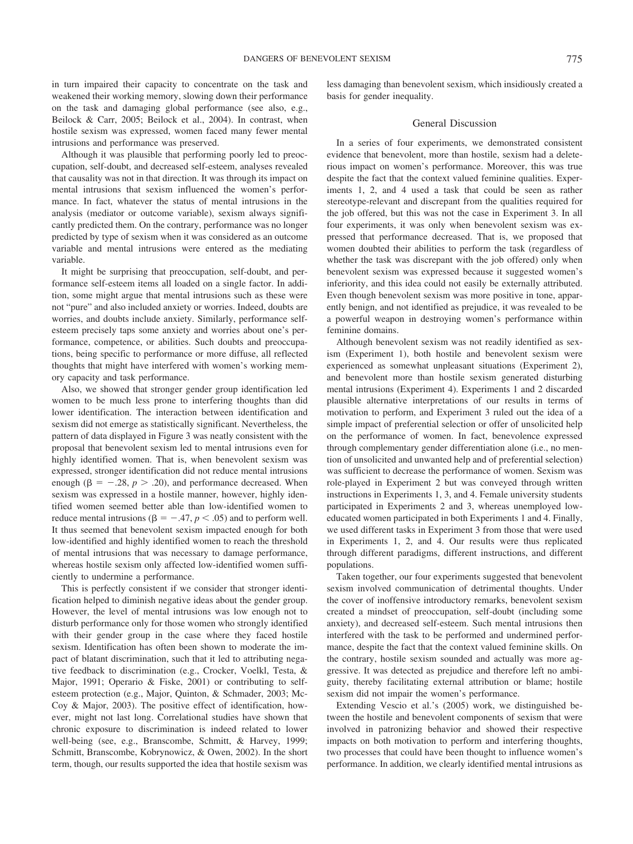in turn impaired their capacity to concentrate on the task and weakened their working memory, slowing down their performance on the task and damaging global performance (see also, e.g., Beilock & Carr, 2005; Beilock et al., 2004). In contrast, when hostile sexism was expressed, women faced many fewer mental intrusions and performance was preserved.

Although it was plausible that performing poorly led to preoccupation, self-doubt, and decreased self-esteem, analyses revealed that causality was not in that direction. It was through its impact on mental intrusions that sexism influenced the women's performance. In fact, whatever the status of mental intrusions in the analysis (mediator or outcome variable), sexism always significantly predicted them. On the contrary, performance was no longer predicted by type of sexism when it was considered as an outcome variable and mental intrusions were entered as the mediating variable.

It might be surprising that preoccupation, self-doubt, and performance self-esteem items all loaded on a single factor. In addition, some might argue that mental intrusions such as these were not "pure" and also included anxiety or worries. Indeed, doubts are worries, and doubts include anxiety. Similarly, performance selfesteem precisely taps some anxiety and worries about one's performance, competence, or abilities. Such doubts and preoccupations, being specific to performance or more diffuse, all reflected thoughts that might have interfered with women's working memory capacity and task performance.

Also, we showed that stronger gender group identification led women to be much less prone to interfering thoughts than did lower identification. The interaction between identification and sexism did not emerge as statistically significant. Nevertheless, the pattern of data displayed in Figure 3 was neatly consistent with the proposal that benevolent sexism led to mental intrusions even for highly identified women. That is, when benevolent sexism was expressed, stronger identification did not reduce mental intrusions enough ( $\beta = -.28, p > .20$ ), and performance decreased. When sexism was expressed in a hostile manner, however, highly identified women seemed better able than low-identified women to reduce mental intrusions ( $\beta = -.47, p < .05$ ) and to perform well. It thus seemed that benevolent sexism impacted enough for both low-identified and highly identified women to reach the threshold of mental intrusions that was necessary to damage performance, whereas hostile sexism only affected low-identified women sufficiently to undermine a performance.

This is perfectly consistent if we consider that stronger identification helped to diminish negative ideas about the gender group. However, the level of mental intrusions was low enough not to disturb performance only for those women who strongly identified with their gender group in the case where they faced hostile sexism. Identification has often been shown to moderate the impact of blatant discrimination, such that it led to attributing negative feedback to discrimination (e.g., Crocker, Voelkl, Testa, & Major, 1991; Operario & Fiske, 2001) or contributing to selfesteem protection (e.g., Major, Quinton, & Schmader, 2003; Mc-Coy & Major, 2003). The positive effect of identification, however, might not last long. Correlational studies have shown that chronic exposure to discrimination is indeed related to lower well-being (see, e.g., Branscombe, Schmitt, & Harvey, 1999; Schmitt, Branscombe, Kobrynowicz, & Owen, 2002). In the short term, though, our results supported the idea that hostile sexism was

less damaging than benevolent sexism, which insidiously created a basis for gender inequality.

#### General Discussion

In a series of four experiments, we demonstrated consistent evidence that benevolent, more than hostile, sexism had a deleterious impact on women's performance. Moreover, this was true despite the fact that the context valued feminine qualities. Experiments 1, 2, and 4 used a task that could be seen as rather stereotype-relevant and discrepant from the qualities required for the job offered, but this was not the case in Experiment 3. In all four experiments, it was only when benevolent sexism was expressed that performance decreased. That is, we proposed that women doubted their abilities to perform the task (regardless of whether the task was discrepant with the job offered) only when benevolent sexism was expressed because it suggested women's inferiority, and this idea could not easily be externally attributed. Even though benevolent sexism was more positive in tone, apparently benign, and not identified as prejudice, it was revealed to be a powerful weapon in destroying women's performance within feminine domains.

Although benevolent sexism was not readily identified as sexism (Experiment 1), both hostile and benevolent sexism were experienced as somewhat unpleasant situations (Experiment 2), and benevolent more than hostile sexism generated disturbing mental intrusions (Experiment 4). Experiments 1 and 2 discarded plausible alternative interpretations of our results in terms of motivation to perform, and Experiment 3 ruled out the idea of a simple impact of preferential selection or offer of unsolicited help on the performance of women. In fact, benevolence expressed through complementary gender differentiation alone (i.e., no mention of unsolicited and unwanted help and of preferential selection) was sufficient to decrease the performance of women. Sexism was role-played in Experiment 2 but was conveyed through written instructions in Experiments 1, 3, and 4. Female university students participated in Experiments 2 and 3, whereas unemployed loweducated women participated in both Experiments 1 and 4. Finally, we used different tasks in Experiment 3 from those that were used in Experiments 1, 2, and 4. Our results were thus replicated through different paradigms, different instructions, and different populations.

Taken together, our four experiments suggested that benevolent sexism involved communication of detrimental thoughts. Under the cover of inoffensive introductory remarks, benevolent sexism created a mindset of preoccupation, self-doubt (including some anxiety), and decreased self-esteem. Such mental intrusions then interfered with the task to be performed and undermined performance, despite the fact that the context valued feminine skills. On the contrary, hostile sexism sounded and actually was more aggressive. It was detected as prejudice and therefore left no ambiguity, thereby facilitating external attribution or blame; hostile sexism did not impair the women's performance.

Extending Vescio et al.'s (2005) work, we distinguished between the hostile and benevolent components of sexism that were involved in patronizing behavior and showed their respective impacts on both motivation to perform and interfering thoughts, two processes that could have been thought to influence women's performance. In addition, we clearly identified mental intrusions as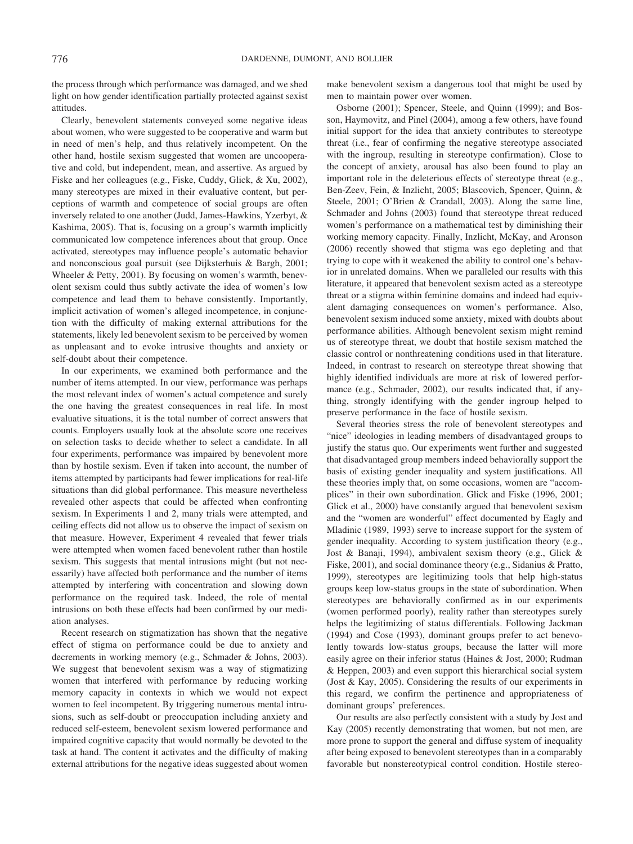the process through which performance was damaged, and we shed light on how gender identification partially protected against sexist attitudes.

Clearly, benevolent statements conveyed some negative ideas about women, who were suggested to be cooperative and warm but in need of men's help, and thus relatively incompetent. On the other hand, hostile sexism suggested that women are uncooperative and cold, but independent, mean, and assertive. As argued by Fiske and her colleagues (e.g., Fiske, Cuddy, Glick, & Xu, 2002), many stereotypes are mixed in their evaluative content, but perceptions of warmth and competence of social groups are often inversely related to one another (Judd, James-Hawkins, Yzerbyt, & Kashima, 2005). That is, focusing on a group's warmth implicitly communicated low competence inferences about that group. Once activated, stereotypes may influence people's automatic behavior and nonconscious goal pursuit (see Dijksterhuis & Bargh, 2001; Wheeler & Petty, 2001). By focusing on women's warmth, benevolent sexism could thus subtly activate the idea of women's low competence and lead them to behave consistently. Importantly, implicit activation of women's alleged incompetence, in conjunction with the difficulty of making external attributions for the statements, likely led benevolent sexism to be perceived by women as unpleasant and to evoke intrusive thoughts and anxiety or self-doubt about their competence.

In our experiments, we examined both performance and the number of items attempted. In our view, performance was perhaps the most relevant index of women's actual competence and surely the one having the greatest consequences in real life. In most evaluative situations, it is the total number of correct answers that counts. Employers usually look at the absolute score one receives on selection tasks to decide whether to select a candidate. In all four experiments, performance was impaired by benevolent more than by hostile sexism. Even if taken into account, the number of items attempted by participants had fewer implications for real-life situations than did global performance. This measure nevertheless revealed other aspects that could be affected when confronting sexism. In Experiments 1 and 2, many trials were attempted, and ceiling effects did not allow us to observe the impact of sexism on that measure. However, Experiment 4 revealed that fewer trials were attempted when women faced benevolent rather than hostile sexism. This suggests that mental intrusions might (but not necessarily) have affected both performance and the number of items attempted by interfering with concentration and slowing down performance on the required task. Indeed, the role of mental intrusions on both these effects had been confirmed by our mediation analyses.

Recent research on stigmatization has shown that the negative effect of stigma on performance could be due to anxiety and decrements in working memory (e.g., Schmader & Johns, 2003). We suggest that benevolent sexism was a way of stigmatizing women that interfered with performance by reducing working memory capacity in contexts in which we would not expect women to feel incompetent. By triggering numerous mental intrusions, such as self-doubt or preoccupation including anxiety and reduced self-esteem, benevolent sexism lowered performance and impaired cognitive capacity that would normally be devoted to the task at hand. The content it activates and the difficulty of making external attributions for the negative ideas suggested about women make benevolent sexism a dangerous tool that might be used by men to maintain power over women.

Osborne (2001); Spencer, Steele, and Quinn (1999); and Bosson, Haymovitz, and Pinel (2004), among a few others, have found initial support for the idea that anxiety contributes to stereotype threat (i.e., fear of confirming the negative stereotype associated with the ingroup, resulting in stereotype confirmation). Close to the concept of anxiety, arousal has also been found to play an important role in the deleterious effects of stereotype threat (e.g., Ben-Zeev, Fein, & Inzlicht, 2005; Blascovich, Spencer, Quinn, & Steele, 2001; O'Brien & Crandall, 2003). Along the same line, Schmader and Johns (2003) found that stereotype threat reduced women's performance on a mathematical test by diminishing their working memory capacity. Finally, Inzlicht, McKay, and Aronson (2006) recently showed that stigma was ego depleting and that trying to cope with it weakened the ability to control one's behavior in unrelated domains. When we paralleled our results with this literature, it appeared that benevolent sexism acted as a stereotype threat or a stigma within feminine domains and indeed had equivalent damaging consequences on women's performance. Also, benevolent sexism induced some anxiety, mixed with doubts about performance abilities. Although benevolent sexism might remind us of stereotype threat, we doubt that hostile sexism matched the classic control or nonthreatening conditions used in that literature. Indeed, in contrast to research on stereotype threat showing that highly identified individuals are more at risk of lowered performance (e.g., Schmader, 2002), our results indicated that, if anything, strongly identifying with the gender ingroup helped to preserve performance in the face of hostile sexism.

Several theories stress the role of benevolent stereotypes and "nice" ideologies in leading members of disadvantaged groups to justify the status quo. Our experiments went further and suggested that disadvantaged group members indeed behaviorally support the basis of existing gender inequality and system justifications. All these theories imply that, on some occasions, women are "accomplices" in their own subordination. Glick and Fiske (1996, 2001; Glick et al., 2000) have constantly argued that benevolent sexism and the "women are wonderful" effect documented by Eagly and Mladinic (1989, 1993) serve to increase support for the system of gender inequality. According to system justification theory (e.g., Jost & Banaji, 1994), ambivalent sexism theory (e.g., Glick & Fiske, 2001), and social dominance theory (e.g., Sidanius & Pratto, 1999), stereotypes are legitimizing tools that help high-status groups keep low-status groups in the state of subordination. When stereotypes are behaviorally confirmed as in our experiments (women performed poorly), reality rather than stereotypes surely helps the legitimizing of status differentials. Following Jackman (1994) and Cose (1993), dominant groups prefer to act benevolently towards low-status groups, because the latter will more easily agree on their inferior status (Haines & Jost, 2000; Rudman & Heppen, 2003) and even support this hierarchical social system (Jost & Kay, 2005). Considering the results of our experiments in this regard, we confirm the pertinence and appropriateness of dominant groups' preferences.

Our results are also perfectly consistent with a study by Jost and Kay (2005) recently demonstrating that women, but not men, are more prone to support the general and diffuse system of inequality after being exposed to benevolent stereotypes than in a comparably favorable but nonstereotypical control condition. Hostile stereo-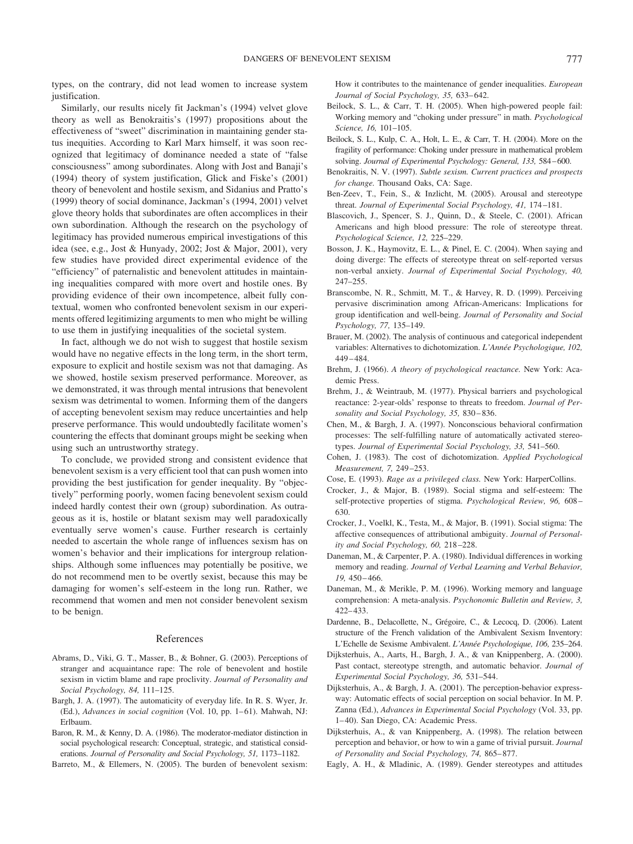types, on the contrary, did not lead women to increase system justification.

Similarly, our results nicely fit Jackman's (1994) velvet glove theory as well as Benokraitis's (1997) propositions about the effectiveness of "sweet" discrimination in maintaining gender status inequities. According to Karl Marx himself, it was soon recognized that legitimacy of dominance needed a state of "false consciousness" among subordinates. Along with Jost and Banaji's (1994) theory of system justification, Glick and Fiske's (2001) theory of benevolent and hostile sexism, and Sidanius and Pratto's (1999) theory of social dominance, Jackman's (1994, 2001) velvet glove theory holds that subordinates are often accomplices in their own subordination. Although the research on the psychology of legitimacy has provided numerous empirical investigations of this idea (see, e.g., Jost & Hunyady, 2002; Jost & Major, 2001), very few studies have provided direct experimental evidence of the "efficiency" of paternalistic and benevolent attitudes in maintaining inequalities compared with more overt and hostile ones. By providing evidence of their own incompetence, albeit fully contextual, women who confronted benevolent sexism in our experiments offered legitimizing arguments to men who might be willing to use them in justifying inequalities of the societal system.

In fact, although we do not wish to suggest that hostile sexism would have no negative effects in the long term, in the short term, exposure to explicit and hostile sexism was not that damaging. As we showed, hostile sexism preserved performance. Moreover, as we demonstrated, it was through mental intrusions that benevolent sexism was detrimental to women. Informing them of the dangers of accepting benevolent sexism may reduce uncertainties and help preserve performance. This would undoubtedly facilitate women's countering the effects that dominant groups might be seeking when using such an untrustworthy strategy.

To conclude, we provided strong and consistent evidence that benevolent sexism is a very efficient tool that can push women into providing the best justification for gender inequality. By "objectively" performing poorly, women facing benevolent sexism could indeed hardly contest their own (group) subordination. As outrageous as it is, hostile or blatant sexism may well paradoxically eventually serve women's cause. Further research is certainly needed to ascertain the whole range of influences sexism has on women's behavior and their implications for intergroup relationships. Although some influences may potentially be positive, we do not recommend men to be overtly sexist, because this may be damaging for women's self-esteem in the long run. Rather, we recommend that women and men not consider benevolent sexism to be benign.

## References

- Abrams, D., Viki, G. T., Masser, B., & Bohner, G. (2003). Perceptions of stranger and acquaintance rape: The role of benevolent and hostile sexism in victim blame and rape proclivity. *Journal of Personality and Social Psychology, 84,* 111–125.
- Bargh, J. A. (1997). The automaticity of everyday life. In R. S. Wyer, Jr. (Ed.), *Advances in social cognition* (Vol. 10, pp. 1–61). Mahwah, NJ: Erlbaum.
- Baron, R. M., & Kenny, D. A. (1986). The moderator-mediator distinction in social psychological research: Conceptual, strategic, and statistical considerations. *Journal of Personality and Social Psychology, 51,* 1173–1182.
- Barreto, M., & Ellemers, N. (2005). The burden of benevolent sexism:

How it contributes to the maintenance of gender inequalities. *European Journal of Social Psychology, 35,* 633– 642.

- Beilock, S. L., & Carr, T. H. (2005). When high-powered people fail: Working memory and "choking under pressure" in math. *Psychological Science, 16,* 101–105.
- Beilock, S. L., Kulp, C. A., Holt, L. E., & Carr, T. H. (2004). More on the fragility of performance: Choking under pressure in mathematical problem solving. *Journal of Experimental Psychology: General, 133, 584-600.*
- Benokraitis, N. V. (1997). *Subtle sexism. Current practices and prospects for change.* Thousand Oaks, CA: Sage.
- Ben-Zeev, T., Fein, S., & Inzlicht, M. (2005). Arousal and stereotype threat. *Journal of Experimental Social Psychology, 41,* 174 –181.
- Blascovich, J., Spencer, S. J., Quinn, D., & Steele, C. (2001). African Americans and high blood pressure: The role of stereotype threat. *Psychological Science, 12,* 225–229.
- Bosson, J. K., Haymovitz, E. L., & Pinel, E. C. (2004). When saying and doing diverge: The effects of stereotype threat on self-reported versus non-verbal anxiety. *Journal of Experimental Social Psychology, 40,* 247–255.
- Branscombe, N. R., Schmitt, M. T., & Harvey, R. D. (1999). Perceiving pervasive discrimination among African-Americans: Implications for group identification and well-being. *Journal of Personality and Social Psychology, 77,* 135–149.
- Brauer, M. (2002). The analysis of continuous and categorical independent variables: Alternatives to dichotomization. *L'Année Psychologique, 102*,  $449 - 484$
- Brehm, J. (1966). *A theory of psychological reactance.* New York: Academic Press.
- Brehm, J., & Weintraub, M. (1977). Physical barriers and psychological reactance: 2-year-olds' response to threats to freedom. *Journal of Personality and Social Psychology, 35,* 830 – 836.
- Chen, M., & Bargh, J. A. (1997). Nonconscious behavioral confirmation processes: The self-fulfilling nature of automatically activated stereotypes. *Journal of Experimental Social Psychology, 33,* 541–560.
- Cohen, J. (1983). The cost of dichotomization. *Applied Psychological Measurement, 7,* 249 –253.
- Cose, E. (1993). *Rage as a privileged class.* New York: HarperCollins.
- Crocker, J., & Major, B. (1989). Social stigma and self-esteem: The self-protective properties of stigma. *Psychological Review, 96,* 608 – 630.
- Crocker, J., Voelkl, K., Testa, M., & Major, B. (1991). Social stigma: The affective consequences of attributional ambiguity. *Journal of Personality and Social Psychology, 60,* 218 –228.
- Daneman, M., & Carpenter, P. A. (1980). Individual differences in working memory and reading. *Journal of Verbal Learning and Verbal Behavior, 19,* 450 – 466.
- Daneman, M., & Merikle, P. M. (1996). Working memory and language comprehension: A meta-analysis. *Psychonomic Bulletin and Review, 3,* 422– 433.
- Dardenne, B., Delacollette, N., Grégoire, C., & Lecocq, D. (2006). Latent structure of the French validation of the Ambivalent Sexism Inventory: L'Echelle de Sexisme Ambivalent. *L'Année Psychologique, 106, 235-264*.
- Dijksterhuis, A., Aarts, H., Bargh, J. A., & van Knippenberg, A. (2000). Past contact, stereotype strength, and automatic behavior. *Journal of Experimental Social Psychology, 36,* 531–544.
- Dijksterhuis, A., & Bargh, J. A. (2001). The perception-behavior expressway: Automatic effects of social perception on social behavior. In M. P. Zanna (Ed.), *Advances in Experimental Social Psychology* (Vol. 33, pp. 1– 40). San Diego, CA: Academic Press.
- Dijksterhuis, A., & van Knippenberg, A. (1998). The relation between perception and behavior, or how to win a game of trivial pursuit. *Journal of Personality and Social Psychology, 74,* 865– 877.
- Eagly, A. H., & Mladinic, A. (1989). Gender stereotypes and attitudes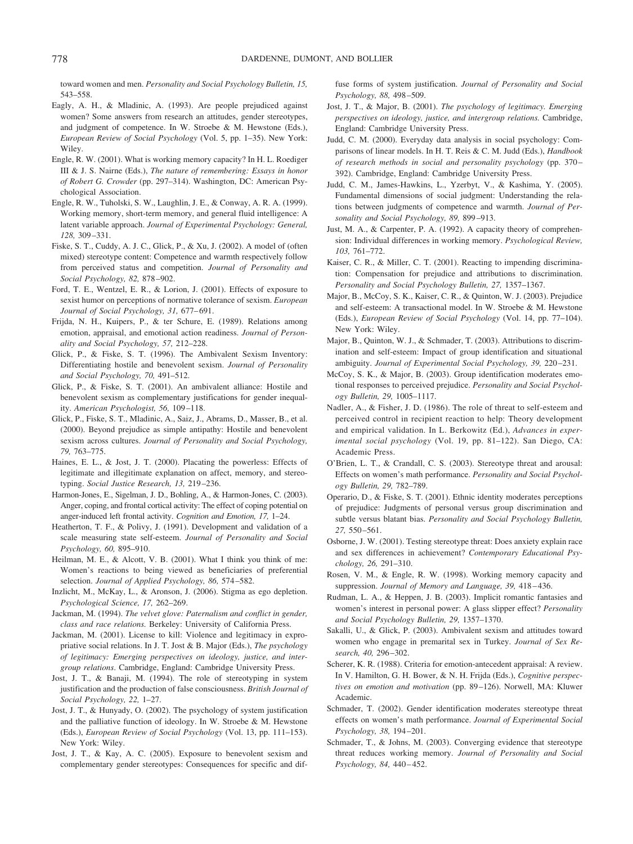toward women and men. *Personality and Social Psychology Bulletin, 15,* 543–558.

- Eagly, A. H., & Mladinic, A. (1993). Are people prejudiced against women? Some answers from research an attitudes, gender stereotypes, and judgment of competence. In W. Stroebe & M. Hewstone (Eds.), *European Review of Social Psychology* (Vol. 5, pp. 1–35). New York: Wiley.
- Engle, R. W. (2001). What is working memory capacity? In H. L. Roediger III & J. S. Nairne (Eds.), *The nature of remembering: Essays in honor of Robert G. Crowder* (pp. 297–314). Washington, DC: American Psychological Association.
- Engle, R. W., Tuholski, S. W., Laughlin, J. E., & Conway, A. R. A. (1999). Working memory, short-term memory, and general fluid intelligence: A latent variable approach. *Journal of Experimental Psychology: General, 128,* 309 –331.
- Fiske, S. T., Cuddy, A. J. C., Glick, P., & Xu, J. (2002). A model of (often mixed) stereotype content: Competence and warmth respectively follow from perceived status and competition. *Journal of Personality and Social Psychology, 82,* 878 –902.
- Ford, T. E., Wentzel, E. R., & Lorion, J. (2001). Effects of exposure to sexist humor on perceptions of normative tolerance of sexism. *European Journal of Social Psychology, 31,* 677– 691.
- Frijda, N. H., Kuipers, P., & ter Schure, E. (1989). Relations among emotion, appraisal, and emotional action readiness. *Journal of Personality and Social Psychology, 57,* 212–228.
- Glick, P., & Fiske, S. T. (1996). The Ambivalent Sexism Inventory: Differentiating hostile and benevolent sexism. *Journal of Personality and Social Psychology, 70,* 491–512.
- Glick, P., & Fiske, S. T. (2001). An ambivalent alliance: Hostile and benevolent sexism as complementary justifications for gender inequality. *American Psychologist, 56,* 109 –118.
- Glick, P., Fiske, S. T., Mladinic, A., Saiz, J., Abrams, D., Masser, B., et al. (2000). Beyond prejudice as simple antipathy: Hostile and benevolent sexism across cultures. *Journal of Personality and Social Psychology, 79,* 763–775.
- Haines, E. L., & Jost, J. T. (2000). Placating the powerless: Effects of legitimate and illegitimate explanation on affect, memory, and stereotyping. *Social Justice Research, 13,* 219 –236.
- Harmon-Jones, E., Sigelman, J. D., Bohling, A., & Harmon-Jones, C. (2003). Anger, coping, and frontal cortical activity: The effect of coping potential on anger-induced left frontal activity. *Cognition and Emotion, 17,* 1–24.
- Heatherton, T. F., & Polivy, J. (1991). Development and validation of a scale measuring state self-esteem. *Journal of Personality and Social Psychology, 60,* 895–910.
- Heilman, M. E., & Alcott, V. B. (2001). What I think you think of me: Women's reactions to being viewed as beneficiaries of preferential selection. *Journal of Applied Psychology, 86,* 574 –582.
- Inzlicht, M., McKay, L., & Aronson, J. (2006). Stigma as ego depletion. *Psychological Science, 17,* 262–269.
- Jackman, M. (1994). *The velvet glove: Paternalism and conflict in gender, class and race relations.* Berkeley: University of California Press.
- Jackman, M. (2001). License to kill: Violence and legitimacy in expropriative social relations. In J. T. Jost & B. Major (Eds.), *The psychology of legitimacy: Emerging perspectives on ideology, justice, and intergroup relations*. Cambridge, England: Cambridge University Press.
- Jost, J. T., & Banaji, M. (1994). The role of stereotyping in system justification and the production of false consciousness. *British Journal of Social Psychology, 22,* 1–27.
- Jost, J. T., & Hunyady, O. (2002). The psychology of system justification and the palliative function of ideology. In W. Stroebe & M. Hewstone (Eds.), *European Review of Social Psychology* (Vol. 13, pp. 111–153). New York: Wiley.
- Jost, J. T., & Kay, A. C. (2005). Exposure to benevolent sexism and complementary gender stereotypes: Consequences for specific and dif-

fuse forms of system justification. *Journal of Personality and Social Psychology, 88,* 498 –509.

- Jost, J. T., & Major, B. (2001). *The psychology of legitimacy. Emerging perspectives on ideology, justice, and intergroup relations.* Cambridge, England: Cambridge University Press.
- Judd, C. M. (2000). Everyday data analysis in social psychology: Comparisons of linear models. In H. T. Reis & C. M. Judd (Eds.), *Handbook of research methods in social and personality psychology* (pp. 370 – 392). Cambridge, England: Cambridge University Press.
- Judd, C. M., James-Hawkins, L., Yzerbyt, V., & Kashima, Y. (2005). Fundamental dimensions of social judgment: Understanding the relations between judgments of competence and warmth. *Journal of Personality and Social Psychology, 89,* 899 –913.
- Just, M. A., & Carpenter, P. A. (1992). A capacity theory of comprehension: Individual differences in working memory. *Psychological Review, 103,* 761–772.
- Kaiser, C. R., & Miller, C. T. (2001). Reacting to impending discrimination: Compensation for prejudice and attributions to discrimination. *Personality and Social Psychology Bulletin, 27,* 1357–1367.
- Major, B., McCoy, S. K., Kaiser, C. R., & Quinton, W. J. (2003). Prejudice and self-esteem: A transactional model. In W. Stroebe & M. Hewstone (Eds.), *European Review of Social Psychology* (Vol. 14, pp. 77–104). New York: Wiley.
- Major, B., Quinton, W. J., & Schmader, T. (2003). Attributions to discrimination and self-esteem: Impact of group identification and situational ambiguity. *Journal of Experimental Social Psychology, 39,* 220 –231.
- McCoy, S. K., & Major, B. (2003). Group identification moderates emotional responses to perceived prejudice. *Personality and Social Psychology Bulletin, 29,* 1005–1117.
- Nadler, A., & Fisher, J. D. (1986). The role of threat to self-esteem and perceived control in recipient reaction to help: Theory development and empirical validation. In L. Berkowitz (Ed.), *Advances in experimental social psychology* (Vol. 19, pp. 81–122). San Diego, CA: Academic Press.
- O'Brien, L. T., & Crandall, C. S. (2003). Stereotype threat and arousal: Effects on women's math performance. *Personality and Social Psychology Bulletin, 29,* 782–789.
- Operario, D., & Fiske, S. T. (2001). Ethnic identity moderates perceptions of prejudice: Judgments of personal versus group discrimination and subtle versus blatant bias. *Personality and Social Psychology Bulletin, 27,* 550 –561.
- Osborne, J. W. (2001). Testing stereotype threat: Does anxiety explain race and sex differences in achievement? *Contemporary Educational Psychology, 26,* 291–310.
- Rosen, V. M., & Engle, R. W. (1998). Working memory capacity and suppression. *Journal of Memory and Language, 39,* 418 – 436.
- Rudman, L. A., & Heppen, J. B. (2003). Implicit romantic fantasies and women's interest in personal power: A glass slipper effect? *Personality and Social Psychology Bulletin, 29,* 1357–1370.
- Sakalli, U., & Glick, P. (2003). Ambivalent sexism and attitudes toward women who engage in premarital sex in Turkey. *Journal of Sex Research, 40,* 296 –302.
- Scherer, K. R. (1988). Criteria for emotion-antecedent appraisal: A review. In V. Hamilton, G. H. Bower, & N. H. Frijda (Eds.), *Cognitive perspectives on emotion and motivation* (pp. 89 –126). Norwell, MA: Kluwer Academic.
- Schmader, T. (2002). Gender identification moderates stereotype threat effects on women's math performance. *Journal of Experimental Social Psychology, 38,* 194 –201.
- Schmader, T., & Johns, M. (2003). Converging evidence that stereotype threat reduces working memory. *Journal of Personality and Social Psychology, 84,* 440 – 452.